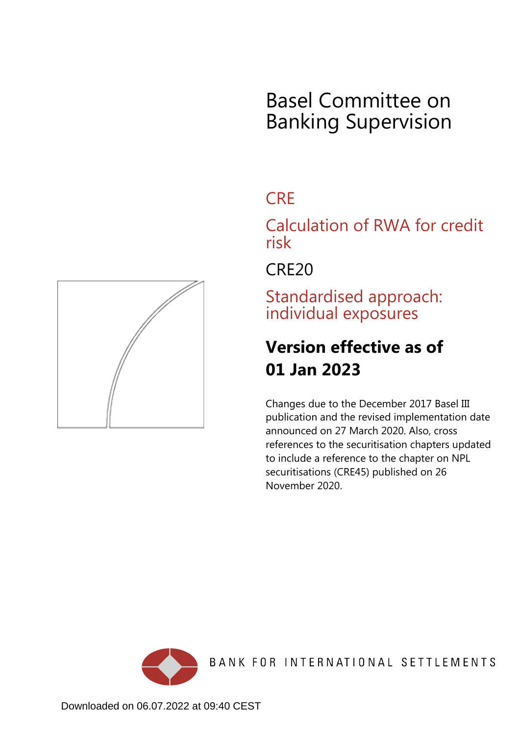

# **CRF**

Calculation of RWA for credit risk

CRE20

Standardised approach: individual exposures

# **Version effective as of 01 Jan 2023**

Changes due to the December 2017 Basel III publication and the revised implementation date announced on 27 March 2020. Also, cross references to the securitisation chapters updated to include a reference to the chapter on NPL securitisations (CRE45) published on 26 November 2020.



<span id="page-0-0"></span>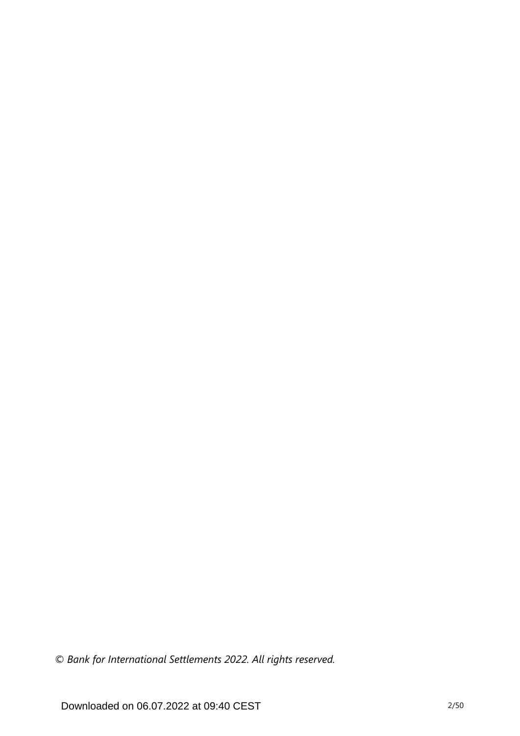*© Bank for International Settlements 2022. All rights reserved.*

Downloaded on 06.07.2022 at 09:40 CEST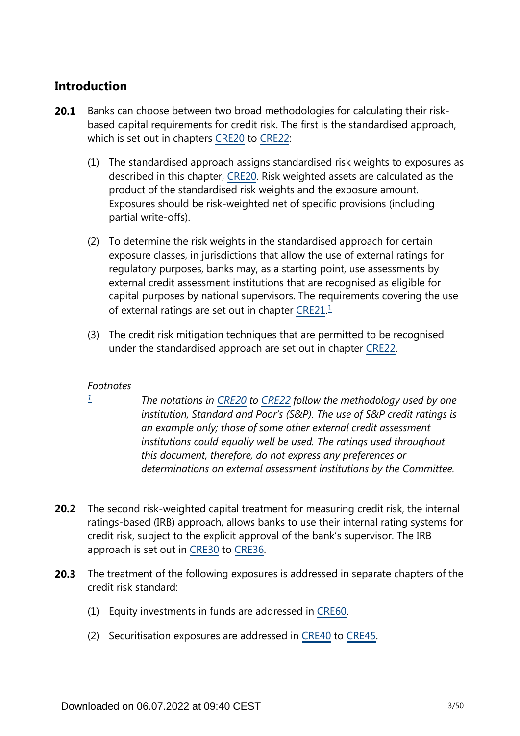# **Introduction**

- Banks can choose between two broad methodologies for calculating their riskbased capital requirements for credit risk. The first is the standardised approach, which is set out in chapters [CRE20](https://www.bis.org/basel_framework/chapter/CRE/20.htm?tldate=20281012&inforce=20230101&published=20201126) to [CRE22](https://www.bis.org/basel_framework/chapter/CRE/22.htm?tldate=20281012&inforce=20230101&published=20201126): **20.1**
	- (1) The standardised approach assigns standardised risk weights to exposures as described in this chapter, [CRE20.](https://www.bis.org/basel_framework/chapter/CRE/20.htm?tldate=20281012&inforce=20230101&published=20201126) Risk weighted assets are calculated as the product of the standardised risk weights and the exposure amount. Exposures should be risk-weighted net of specific provisions (including partial write-offs).
	- (2) To determine the risk weights in the standardised approach for certain exposure classes, in jurisdictions that allow the use of external ratings for regulatory purposes, banks may, as a starting point, use assessments by external credit assessment institutions that are recognised as eligible for capital purposes by national supervisors. The requirements covering the use of external ratings are set out in chapter [CRE21.](https://www.bis.org/basel_framework/chapter/CRE/21.htm?tldate=20281012&inforce=20230101&published=20200327)<sup>[1](#page-2-0)</sup>
	- (3) The credit risk mitigation techniques that are permitted to be recognised under the standardised approach are set out in chapter [CRE22.](https://www.bis.org/basel_framework/chapter/CRE/22.htm?tldate=20281012&inforce=20230101&published=20201126)

## <span id="page-2-1"></span>*Footnotes*

<span id="page-2-0"></span>*[1](#page-2-1)*

- *The notations in [CRE20](https://www.bis.org/basel_framework/chapter/CRE/20.htm?tldate=20281012&inforce=20230101&published=20201126) to [CRE22](https://www.bis.org/basel_framework/chapter/CRE/22.htm?tldate=20281012&inforce=20230101&published=20201126) follow the methodology used by one institution, Standard and Poor's (S&P). The use of S&P credit ratings is an example only; those of some other external credit assessment institutions could equally well be used. The ratings used throughout this document, therefore, do not express any preferences or determinations on external assessment institutions by the Committee.*
- **20.2** The second risk-weighted capital treatment for measuring credit risk, the internal ratings-based (IRB) approach, allows banks to use their internal rating systems for credit risk, subject to the explicit approval of the bank's supervisor. The IRB approach is set out in [CRE30](https://www.bis.org/basel_framework/chapter/CRE/30.htm?tldate=20281012&inforce=20230101&published=20200327) to [CRE36](https://www.bis.org/basel_framework/chapter/CRE/36.htm?tldate=20281012&inforce=20230101&published=20200327).
- The treatment of the following exposures is addressed in separate chapters of the **20.3** credit risk standard:
	- (1) Equity investments in funds are addressed in [CRE60.](https://www.bis.org/basel_framework/chapter/CRE/60.htm?tldate=20281012&inforce=20230101&published=20200327)
	- (2) Securitisation exposures are addressed in [CRE40](https://www.bis.org/basel_framework/chapter/CRE/40.htm?tldate=20281012&inforce=20230101&published=20201126) to [CRE45](https://www.bis.org/basel_framework/chapter/CRE/45.htm?tldate=20281012&inforce=20230101&published=20201126).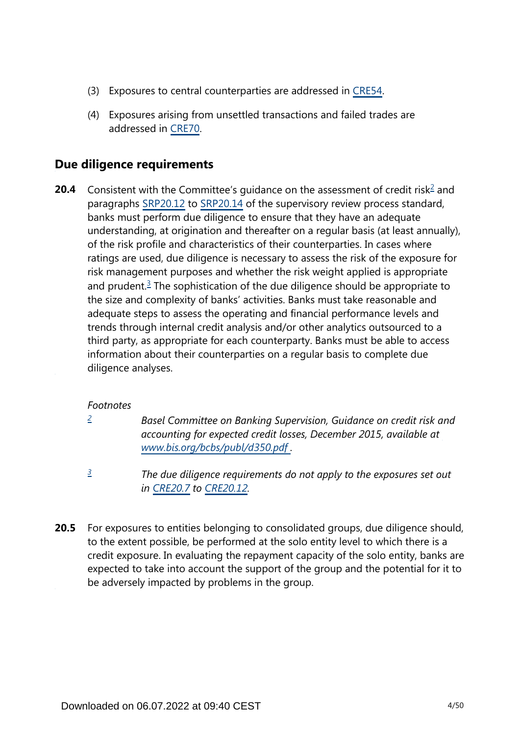- (3) Exposures to central counterparties are addressed in [CRE54.](https://www.bis.org/basel_framework/chapter/CRE/54.htm?tldate=20281012&inforce=20230101&published=20200327)
- (4) Exposures arising from unsettled transactions and failed trades are addressed in [CRE70.](https://www.bis.org/basel_framework/chapter/CRE/70.htm?tldate=20281012&inforce=20191215&published=20191215)

# **Due diligence requirements**

<span id="page-3-3"></span><span id="page-3-2"></span>Consistent with the Committee's guidance on the assessment of credit risk<sup>[2](#page-3-0)</sup> and paragraphs [SRP20.12](https://www.bis.org/basel_framework/chapter/SRP/20.htm?tldate=20281012&inforce=20191215&published=20191215#paragraph_SRP_20_20191215_20_12) to [SRP20.14](https://www.bis.org/basel_framework/chapter/SRP/20.htm?tldate=20281012&inforce=20191215&published=20191215#paragraph_SRP_20_20191215_20_14) of the supervisory review process standard, banks must perform due diligence to ensure that they have an adequate understanding, at origination and thereafter on a regular basis (at least annually), of the risk profile and characteristics of their counterparties. In cases where ratings are used, due diligence is necessary to assess the risk of the exposure for risk management purposes and whether the risk weight applied is appropriate and prudent.<sup>[3](#page-3-1)</sup> The sophistication of the due diligence should be appropriate to the size and complexity of banks' activities. Banks must take reasonable and adequate steps to assess the operating and financial performance levels and trends through internal credit analysis and/or other analytics outsourced to a third party, as appropriate for each counterparty. Banks must be able to access information about their counterparties on a regular basis to complete due diligence analyses. **20.4**

## *Footnotes*

<span id="page-3-0"></span>*[2](#page-3-2)*

*Basel Committee on Banking Supervision, Guidance on credit risk and accounting for expected credit losses, December 2015, available at [www.bis.org/bcbs/publ/d350.pdf](https://www.bis.org/bcbs/publ/d350.pdf) .*

- *The due diligence requirements do not apply to the exposures set out in [CRE20.7](https://www.bis.org/basel_framework/chapter/CRE/20.htm?tldate=20281012&inforce=20230101&published=20201126#paragraph_CRE_20_20230101_20_7) to [CRE20.12.](https://www.bis.org/basel_framework/chapter/CRE/20.htm?tldate=20281012&inforce=20230101&published=20201126#paragraph_CRE_20_20230101_20_12) [3](#page-3-3)*
- <span id="page-3-1"></span>For exposures to entities belonging to consolidated groups, due diligence should, to the extent possible, be performed at the solo entity level to which there is a credit exposure. In evaluating the repayment capacity of the solo entity, banks are expected to take into account the support of the group and the potential for it to be adversely impacted by problems in the group. **20.5**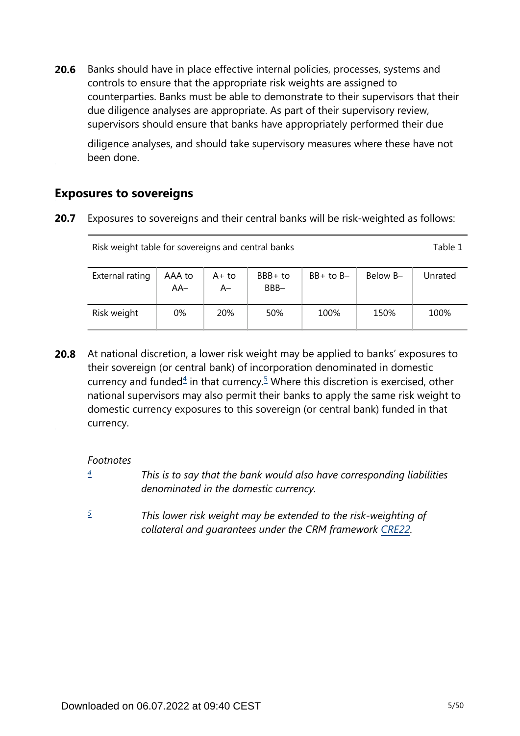Banks should have in place effective internal policies, processes, systems and controls to ensure that the appropriate risk weights are assigned to counterparties. Banks must be able to demonstrate to their supervisors that their due diligence analyses are appropriate. As part of their supervisory review, supervisors should ensure that banks have appropriately performed their due **20.6**

diligence analyses, and should take supervisory measures where these have not been done.

# **Exposures to sovereigns**

**20.7** Exposures to sovereigns and their central banks will be risk-weighted as follows:

| Risk weight table for sovereigns and central banks |               |               |                 |               |          |         |  |  |
|----------------------------------------------------|---------------|---------------|-----------------|---------------|----------|---------|--|--|
| External rating                                    | AAA to<br>AA- | A+ to<br>$A-$ | BBB+ to<br>BBB- | $BB+$ to $B-$ | Below B- | Unrated |  |  |
| Risk weight                                        | 0%            | <b>20%</b>    | 50%             | 100%          | 150%     | 100%    |  |  |

<span id="page-4-2"></span>At national discretion, a lower risk weight may be applied to banks' exposures to their sovereign (or central bank) of incorporation denominated in domestic currency and funded $4$  in that currency.<sup>[5](#page-4-1)</sup> Where this discretion is exercised, other national supervisors may also permit their banks to apply the same risk weight to domestic currency exposures to this sovereign (or central bank) funded in that currency. **20.8**

*Footnotes*

- <span id="page-4-0"></span>*This is to say that the bank would also have corresponding liabilities denominated in the domestic currency. [4](#page-4-2)*
- <span id="page-4-1"></span>*This lower risk weight may be extended to the risk-weighting of collateral and guarantees under the CRM framework [CRE22.](https://www.bis.org/basel_framework/chapter/CRE/22.htm?tldate=20281012&inforce=20230101&published=20201126) [5](#page-4-2)*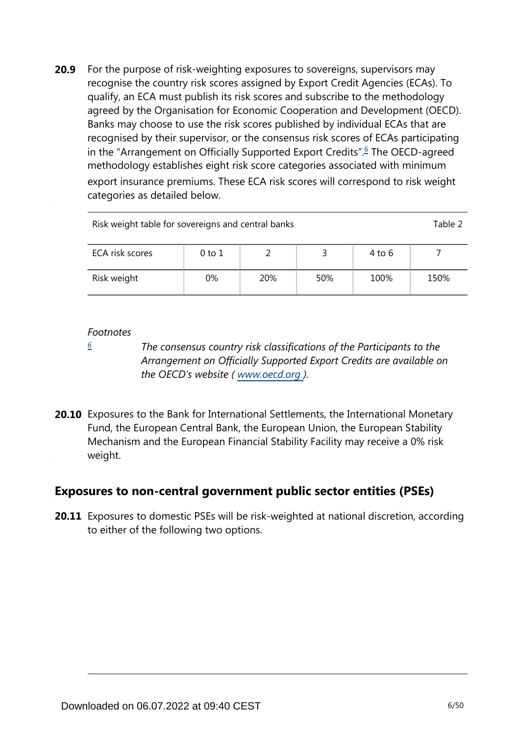<span id="page-5-1"></span>For the purpose of risk-weighting exposures to sovereigns, supervisors may recognise the country risk scores assigned by Export Credit Agencies (ECAs). To qualify, an ECA must publish its risk scores and subscribe to the methodology agreed by the Organisation for Economic Cooperation and Development (OECD). Banks may choose to use the risk scores published by individual ECAs that are recognised by their supervisor, or the consensus risk scores of ECAs participating in the "Arrangement on Officially Supported Export Credits".<sup>[6](#page-5-0)</sup> The OECD-agreed methodology establishes eight risk score categories associated with minimum export insurance premiums. These ECA risk scores will correspond to risk weight categories as detailed below. **20.9**

| Risk weight table for sovereigns and central banks |    |     |     |      |      |  |  |  |
|----------------------------------------------------|----|-----|-----|------|------|--|--|--|
| ECA risk scores<br>0 to 1<br>4 to 6                |    |     |     |      |      |  |  |  |
| Risk weight                                        | 0% | 20% | 50% | 100% | 150% |  |  |  |

#### *Footnotes*

<span id="page-5-0"></span>*[6](#page-5-1)*

*The consensus country risk classifications of the Participants to the Arrangement on Officially Supported Export Credits are available on the OECD's website ( www.oecd.org ).*

**20.10** Exposures to the Bank for International Settlements, the International Monetary Fund, the European Central Bank, the European Union, the European Stability Mechanism and the European Financial Stability Facility may receive a 0% risk weight.

# **Exposures to non-central government public sector entities (PSEs)**

**20.11** Exposures to domestic PSEs will be risk-weighted at national discretion, according to either of the following two options.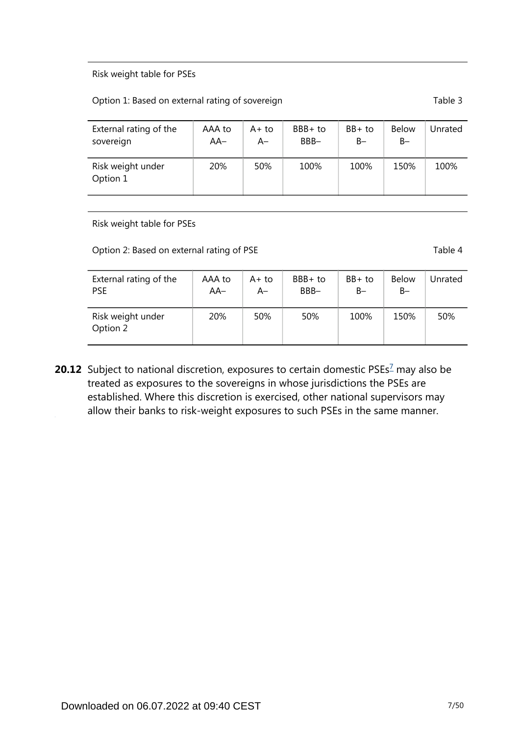#### Risk weight table for PSEs

#### Option 1: Based on external rating of sovereign Table 3

| External rating of the        | AAA to | $A+to$ | $BBB+to$ | $BB+$ to | <b>Below</b> | Jnrated |
|-------------------------------|--------|--------|----------|----------|--------------|---------|
| sovereign                     | $AA-$  | A–     | BBB-     | $B -$    | $B -$        |         |
| Risk weight under<br>Option 1 | 20%    | 50%    | 100%     | 100%     | 150%         | 100%    |

Risk weight table for PSEs

Option 2: Based on external rating of PSE Table 4

| External rating of the        | AAA to | $A+$ to | $BBB+to$ | BB+ to | <b>Below</b> | Unrated |
|-------------------------------|--------|---------|----------|--------|--------------|---------|
| <b>PSE</b>                    | $AA-$  | A–      | BBB-     | B-     | $B -$        |         |
| Risk weight under<br>Option 2 | 20%    | 50%     | 50%      | 100%   | 150%         | 50%     |

<span id="page-6-0"></span>**20.12** Subject to national discretion, exposures to certain domestic PSEs<sup>[7](#page-7-0)</sup> may also be treated as exposures to the sovereigns in whose jurisdictions the PSEs are established. Where this discretion is exercised, other national supervisors may allow their banks to risk-weight exposures to such PSEs in the same manner.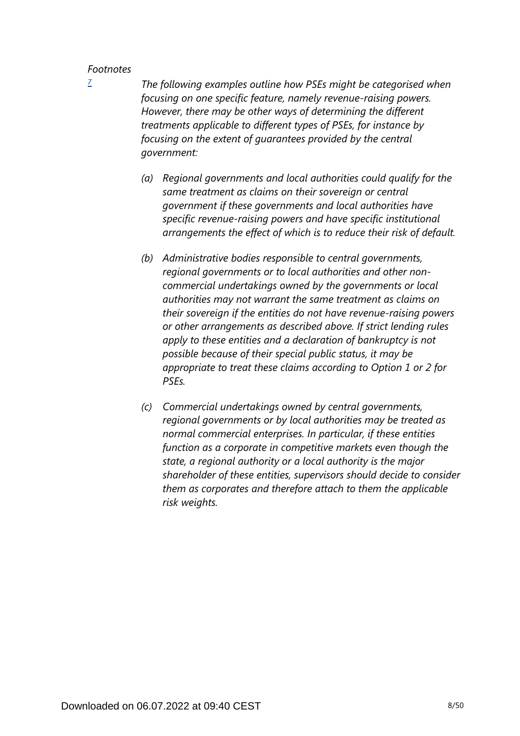<span id="page-7-0"></span>*[7](#page-6-0)*

*The following examples outline how PSEs might be categorised when focusing on one specific feature, namely revenue-raising powers. However, there may be other ways of determining the different treatments applicable to different types of PSEs, for instance by focusing on the extent of guarantees provided by the central government:*

- *(a) Regional governments and local authorities could qualify for the same treatment as claims on their sovereign or central government if these governments and local authorities have specific revenue-raising powers and have specific institutional arrangements the effect of which is to reduce their risk of default.*
- *(b) Administrative bodies responsible to central governments, regional governments or to local authorities and other noncommercial undertakings owned by the governments or local authorities may not warrant the same treatment as claims on their sovereign if the entities do not have revenue-raising powers or other arrangements as described above. If strict lending rules apply to these entities and a declaration of bankruptcy is not possible because of their special public status, it may be appropriate to treat these claims according to Option 1 or 2 for PSEs.*
- *(c) Commercial undertakings owned by central governments, regional governments or by local authorities may be treated as normal commercial enterprises. In particular, if these entities function as a corporate in competitive markets even though the state, a regional authority or a local authority is the major shareholder of these entities, supervisors should decide to consider them as corporates and therefore attach to them the applicable risk weights.*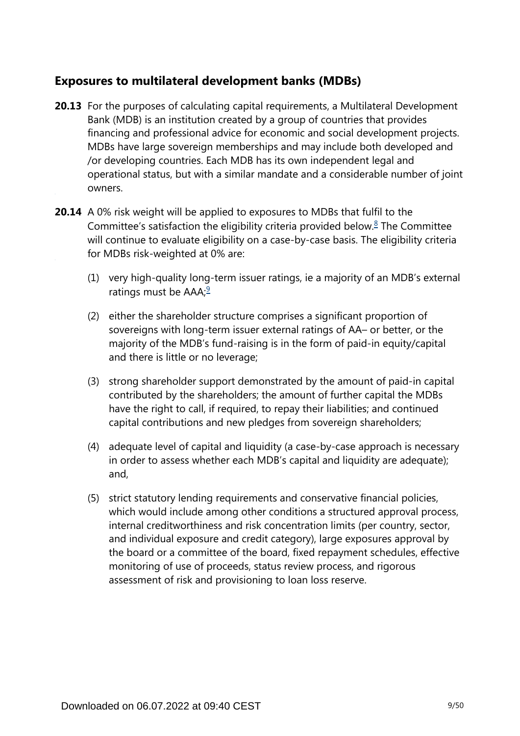# **Exposures to multilateral development banks (MDBs)**

- **20.13** For the purposes of calculating capital requirements, a Multilateral Development Bank (MDB) is an institution created by a group of countries that provides financing and professional advice for economic and social development projects. MDBs have large sovereign memberships and may include both developed and /or developing countries. Each MDB has its own independent legal and operational status, but with a similar mandate and a considerable number of joint owners.
- <span id="page-8-1"></span><span id="page-8-0"></span>**20.14** A 0% risk weight will be applied to exposures to MDBs that fulfil to the Committee's satisfaction the eligibility criteria provided below. $8$  The Committee will continue to evaluate eligibility on a case-by-case basis. The eligibility criteria for MDBs risk-weighted at 0% are:
	- (1) very high-quality long-term issuer ratings, ie a majority of an MDB's external ratings must be  $AAA$ ;<sup>[9](#page-9-1)</sup>
	- (2) either the shareholder structure comprises a significant proportion of sovereigns with long-term issuer external ratings of AA– or better, or the majority of the MDB's fund-raising is in the form of paid-in equity/capital and there is little or no leverage;
	- (3) strong shareholder support demonstrated by the amount of paid-in capital contributed by the shareholders; the amount of further capital the MDBs have the right to call, if required, to repay their liabilities; and continued capital contributions and new pledges from sovereign shareholders;
	- (4) adequate level of capital and liquidity (a case-by-case approach is necessary in order to assess whether each MDB's capital and liquidity are adequate); and,
	- (5) strict statutory lending requirements and conservative financial policies, which would include among other conditions a structured approval process, internal creditworthiness and risk concentration limits (per country, sector, and individual exposure and credit category), large exposures approval by the board or a committee of the board, fixed repayment schedules, effective monitoring of use of proceeds, status review process, and rigorous assessment of risk and provisioning to loan loss reserve.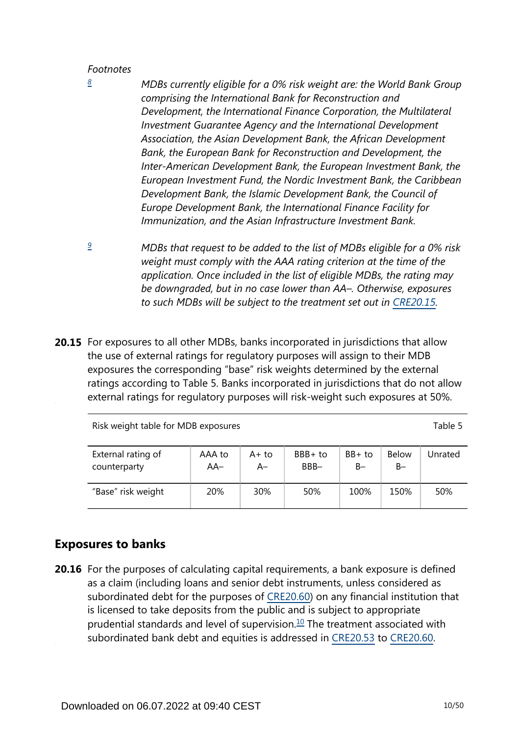<span id="page-9-0"></span>*[8](#page-8-0)*

*MDBs currently eligible for a 0% risk weight are: the World Bank Group comprising the International Bank for Reconstruction and Development, the International Finance Corporation, the Multilateral Investment Guarantee Agency and the International Development Association, the Asian Development Bank, the African Development Bank, the European Bank for Reconstruction and Development, the Inter-American Development Bank, the European Investment Bank, the European Investment Fund, the Nordic Investment Bank, the Caribbean Development Bank, the Islamic Development Bank, the Council of Europe Development Bank, the International Finance Facility for Immunization, and the Asian Infrastructure Investment Bank.*

- <span id="page-9-1"></span>*MDBs that request to be added to the list of MDBs eligible for a 0% risk weight must comply with the AAA rating criterion at the time of the application. Once included in the list of eligible MDBs, the rating may be downgraded, but in no case lower than AA–. Otherwise, exposures*  to such MDBs will be subject to the treatment set out in [CRE20.15.](https://www.bis.org/basel_framework/chapter/CRE/20.htm?tldate=20281012&inforce=20230101&published=20201126#paragraph_CRE_20_20230101_20_15) *[9](#page-8-1)*
- **20.15** For exposures to all other MDBs, banks incorporated in jurisdictions that allow the use of external ratings for regulatory purposes will assign to their MDB exposures the corresponding "base" risk weights determined by the external ratings according to Table 5. Banks incorporated in jurisdictions that do not allow external ratings for regulatory purposes will risk-weight such exposures at 50%.

Risk weight table for MDB exposures Table 5

| External rating of | AAA to | A+ to | BBB+ to | $BB+$ to | <b>Below</b> | Unrated |
|--------------------|--------|-------|---------|----------|--------------|---------|
| counterparty       | $AA-$  | A–    | BBB-    | B-       | $B-$         |         |
| "Base" risk weight | 20%    | 30%   | 50%     | 100%     | 150%         | 50%     |

# **Exposures to banks**

<span id="page-9-2"></span>**20.16** For the purposes of calculating capital requirements, a bank exposure is defined as a claim (including loans and senior debt instruments, unless considered as subordinated debt for the purposes of [CRE20.60](https://www.bis.org/basel_framework/chapter/CRE/20.htm?tldate=20281012&inforce=20230101&published=20201126#paragraph_CRE_20_20230101_20_60)) on any financial institution that is licensed to take deposits from the public and is subject to appropriate prudential standards and level of supervision. $10$  The treatment associated with subordinated bank debt and equities is addressed in [CRE20.53](https://www.bis.org/basel_framework/chapter/CRE/20.htm?tldate=20281012&inforce=20230101&published=20201126#paragraph_CRE_20_20230101_20_53) to [CRE20.60](https://www.bis.org/basel_framework/chapter/CRE/20.htm?tldate=20281012&inforce=20230101&published=20201126#paragraph_CRE_20_20230101_20_60).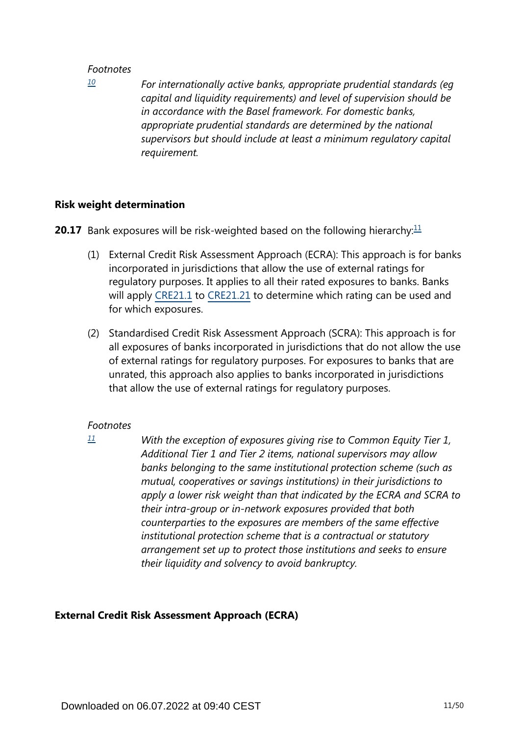<span id="page-10-0"></span>*[10](#page-9-2)*

*For internationally active banks, appropriate prudential standards (eg capital and liquidity requirements) and level of supervision should be in accordance with the Basel framework. For domestic banks, appropriate prudential standards are determined by the national supervisors but should include at least a minimum regulatory capital requirement.*

#### **Risk weight determination**

<span id="page-10-2"></span>**20.17** Bank exposures will be risk-weighted based on the following hierarchy:<sup>[11](#page-10-1)</sup>

- (1) External Credit Risk Assessment Approach (ECRA): This approach is for banks incorporated in jurisdictions that allow the use of external ratings for regulatory purposes. It applies to all their rated exposures to banks. Banks will apply [CRE21.1](https://www.bis.org/basel_framework/chapter/CRE/21.htm?tldate=20281012&inforce=20230101&published=20200327#paragraph_CRE_21_20230101_21_1) to [CRE21.21](https://www.bis.org/basel_framework/chapter/CRE/21.htm?tldate=20281012&inforce=20230101&published=20200327#paragraph_CRE_21_20230101_21_21) to determine which rating can be used and for which exposures.
- (2) Standardised Credit Risk Assessment Approach (SCRA): This approach is for all exposures of banks incorporated in jurisdictions that do not allow the use of external ratings for regulatory purposes. For exposures to banks that are unrated, this approach also applies to banks incorporated in jurisdictions that allow the use of external ratings for regulatory purposes.

#### *Footnotes*

*With the exception of exposures giving rise to Common Equity Tier 1, Additional Tier 1 and Tier 2 items, national supervisors may allow banks belonging to the same institutional protection scheme (such as mutual, cooperatives or savings institutions) in their jurisdictions to apply a lower risk weight than that indicated by the ECRA and SCRA to their intra-group or in-network exposures provided that both counterparties to the exposures are members of the same effective institutional protection scheme that is a contractual or statutory arrangement set up to protect those institutions and seeks to ensure their liquidity and solvency to avoid bankruptcy.*

## **External Credit Risk Assessment Approach (ECRA)**

<span id="page-10-1"></span>*[<sup>11</sup>](#page-10-2)*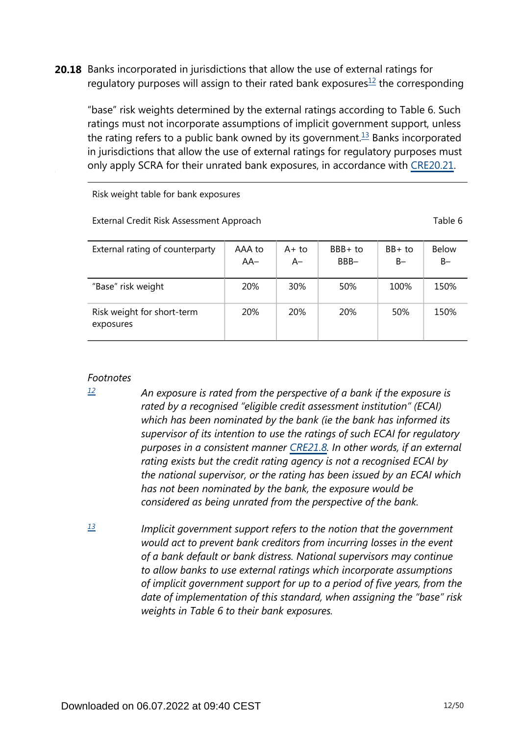<span id="page-11-3"></span><span id="page-11-2"></span>**20.18** Banks incorporated in jurisdictions that allow the use of external ratings for regulatory purposes will assign to their rated bank exposures $1/2$  the corresponding

"base" risk weights determined by the external ratings according to Table 6. Such ratings must not incorporate assumptions of implicit government support, unless the rating refers to a public bank owned by its government.<sup>[13](#page-11-1)</sup> Banks incorporated in jurisdictions that allow the use of external ratings for regulatory purposes must only apply SCRA for their unrated bank exposures, in accordance with [CRE20.21.](https://www.bis.org/basel_framework/chapter/CRE/20.htm?tldate=20281012&inforce=20230101&published=20201126#paragraph_CRE_20_20230101_20_21)

Risk weight table for bank exposures

External Credit Risk Assessment Approach Table 6

| External rating of counterparty         | AAA to<br>AA- | A+ to<br>$A-$ | BBB+ to<br>BBB- | $BB+$ to<br>$B -$ | <b>Below</b><br>$B-$ |
|-----------------------------------------|---------------|---------------|-----------------|-------------------|----------------------|
| "Base" risk weight                      | 20%           | 30%           | 50%             | 100%              | 150%                 |
| Risk weight for short-term<br>exposures | 20%           | <b>20%</b>    | <b>20%</b>      | 50%               | 150%                 |

#### *Footnotes*

<span id="page-11-0"></span>*[12](#page-11-2)*

- *An exposure is rated from the perspective of a bank if the exposure is rated by a recognised "eligible credit assessment institution" (ECAI) which has been nominated by the bank (ie the bank has informed its supervisor of its intention to use the ratings of such ECAI for regulatory purposes in a consistent manner [CRE21.8](https://www.bis.org/basel_framework/chapter/CRE/21.htm?tldate=20281012&inforce=20230101&published=20200327#paragraph_CRE_21_20230101_21_8). In other words, if an external rating exists but the credit rating agency is not a recognised ECAI by the national supervisor, or the rating has been issued by an ECAI which has not been nominated by the bank, the exposure would be considered as being unrated from the perspective of the bank.*
- <span id="page-11-1"></span>*Implicit government support refers to the notion that the government would act to prevent bank creditors from incurring losses in the event of a bank default or bank distress. National supervisors may continue to allow banks to use external ratings which incorporate assumptions of implicit government support for up to a period of five years, from the date of implementation of this standard, when assigning the "base" risk weights in Table 6 to their bank exposures. [13](#page-11-3)*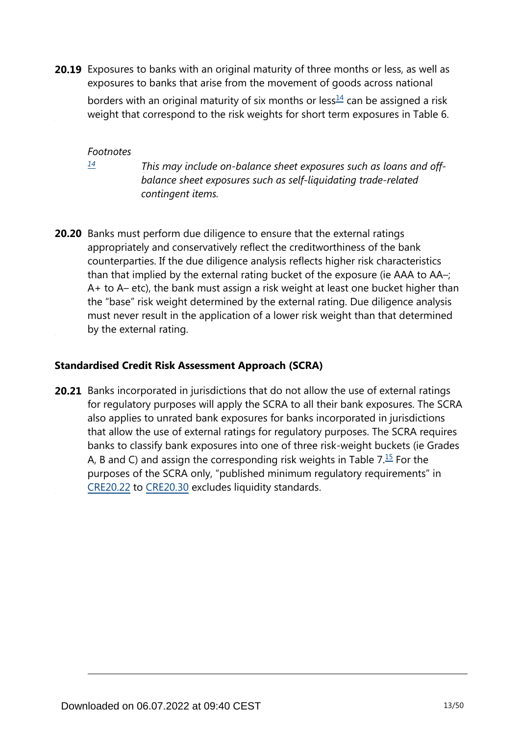<span id="page-12-1"></span>**20.19** Exposures to banks with an original maturity of three months or less, as well as exposures to banks that arise from the movement of goods across national

borders with an original maturity of six months or less $\frac{14}{1}$  $\frac{14}{1}$  $\frac{14}{1}$  can be assigned a risk weight that correspond to the risk weights for short term exposures in Table 6.

*Footnotes*

<span id="page-12-0"></span>*[14](#page-12-1)*

*This may include on-balance sheet exposures such as loans and offbalance sheet exposures such as self-liquidating trade-related contingent items.*

**20.20** Banks must perform due diligence to ensure that the external ratings appropriately and conservatively reflect the creditworthiness of the bank counterparties. If the due diligence analysis reflects higher risk characteristics than that implied by the external rating bucket of the exposure (ie AAA to AA–; A+ to A– etc), the bank must assign a risk weight at least one bucket higher than the "base" risk weight determined by the external rating. Due diligence analysis must never result in the application of a lower risk weight than that determined by the external rating.

## **Standardised Credit Risk Assessment Approach (SCRA)**

<span id="page-12-2"></span>**20.21** Banks incorporated in jurisdictions that do not allow the use of external ratings for regulatory purposes will apply the SCRA to all their bank exposures. The SCRA also applies to unrated bank exposures for banks incorporated in jurisdictions that allow the use of external ratings for regulatory purposes. The SCRA requires banks to classify bank exposures into one of three risk-weight buckets (ie Grades A, B and C) and assign the corresponding risk weights in Table  $7.\overline{15}$  $7.\overline{15}$  $7.\overline{15}$  For the purposes of the SCRA only, "published minimum regulatory requirements" in [CRE20.22](https://www.bis.org/basel_framework/chapter/CRE/20.htm?tldate=20281012&inforce=20230101&published=20201126#paragraph_CRE_20_20230101_20_22) to [CRE20.30](https://www.bis.org/basel_framework/chapter/CRE/20.htm?tldate=20281012&inforce=20230101&published=20201126#paragraph_CRE_20_20230101_20_30) excludes liquidity standards.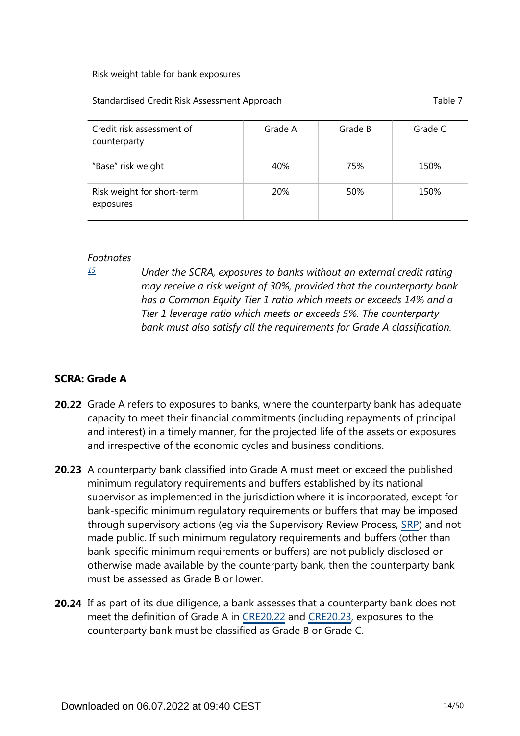#### Risk weight table for bank exposures

#### Standardised Credit Risk Assessment Approach Table 7 and Table 7

| Credit risk assessment of<br>counterparty | Grade A    | Grade B | Grade C |
|-------------------------------------------|------------|---------|---------|
| "Base" risk weight                        | 40%        | 75%     | 150%    |
| Risk weight for short-term<br>exposures   | <b>20%</b> | 50%     | 150%    |

#### *Footnotes*

<span id="page-13-0"></span>*[15](#page-12-2)*

*Under the SCRA, exposures to banks without an external credit rating may receive a risk weight of 30%, provided that the counterparty bank has a Common Equity Tier 1 ratio which meets or exceeds 14% and a Tier 1 leverage ratio which meets or exceeds 5%. The counterparty bank must also satisfy all the requirements for Grade A classification.*

## **SCRA: Grade A**

- **20.22** Grade A refers to exposures to banks, where the counterparty bank has adequate capacity to meet their financial commitments (including repayments of principal and interest) in a timely manner, for the projected life of the assets or exposures and irrespective of the economic cycles and business conditions.
- **20.23** A counterparty bank classified into Grade A must meet or exceed the published minimum regulatory requirements and buffers established by its national supervisor as implemented in the jurisdiction where it is incorporated, except for bank-specific minimum regulatory requirements or buffers that may be imposed through supervisory actions (eg via the Supervisory Review Process, [SRP\)](https://www.bis.org/basel_framework/standard/SRP.htm?tldate=20281012) and not made public. If such minimum regulatory requirements and buffers (other than bank-specific minimum requirements or buffers) are not publicly disclosed or otherwise made available by the counterparty bank, then the counterparty bank must be assessed as Grade B or lower.
- **20.24** If as part of its due diligence, a bank assesses that a counterparty bank does not meet the definition of Grade A in [CRE20.22](https://www.bis.org/basel_framework/chapter/CRE/20.htm?tldate=20281012&inforce=20230101&published=20201126#paragraph_CRE_20_20230101_20_22) and [CRE20.23](https://www.bis.org/basel_framework/chapter/CRE/20.htm?tldate=20281012&inforce=20230101&published=20201126#paragraph_CRE_20_20230101_20_23), exposures to the counterparty bank must be classified as Grade B or Grade C.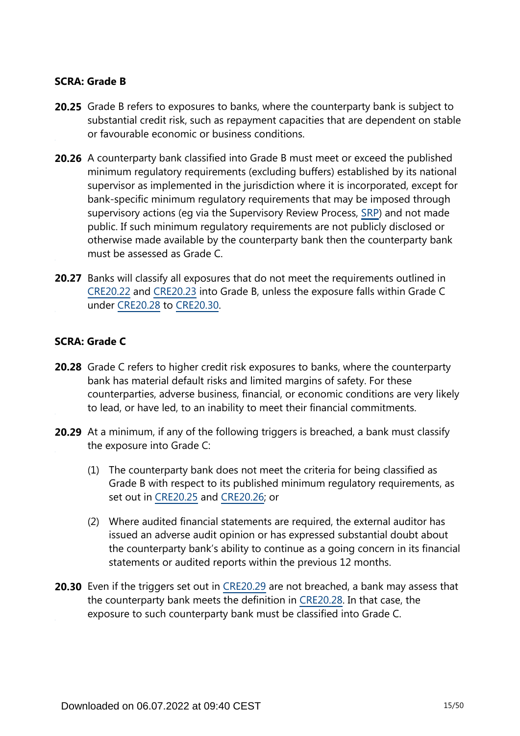#### **SCRA: Grade B**

- **20.25** Grade B refers to exposures to banks, where the counterparty bank is subject to substantial credit risk, such as repayment capacities that are dependent on stable or favourable economic or business conditions.
- **20.26** A counterparty bank classified into Grade B must meet or exceed the published minimum regulatory requirements (excluding buffers) established by its national supervisor as implemented in the jurisdiction where it is incorporated, except for bank-specific minimum regulatory requirements that may be imposed through supervisory actions (eg via the Supervisory Review Process, [SRP\)](https://www.bis.org/basel_framework/standard/SRP.htm?tldate=20281012) and not made public. If such minimum regulatory requirements are not publicly disclosed or otherwise made available by the counterparty bank then the counterparty bank must be assessed as Grade C.
- **20.27** Banks will classify all exposures that do not meet the requirements outlined in [CRE20.22](https://www.bis.org/basel_framework/chapter/CRE/20.htm?tldate=20281012&inforce=20230101&published=20201126#paragraph_CRE_20_20230101_20_22) and [CRE20.23](https://www.bis.org/basel_framework/chapter/CRE/20.htm?tldate=20281012&inforce=20230101&published=20201126#paragraph_CRE_20_20230101_20_23) into Grade B, unless the exposure falls within Grade C under [CRE20.28](https://www.bis.org/basel_framework/chapter/CRE/20.htm?tldate=20281012&inforce=20230101&published=20201126#paragraph_CRE_20_20230101_20_28) to [CRE20.30.](https://www.bis.org/basel_framework/chapter/CRE/20.htm?tldate=20281012&inforce=20230101&published=20201126#paragraph_CRE_20_20230101_20_30)

#### **SCRA: Grade C**

- **20.28** Grade C refers to higher credit risk exposures to banks, where the counterparty bank has material default risks and limited margins of safety. For these counterparties, adverse business, financial, or economic conditions are very likely to lead, or have led, to an inability to meet their financial commitments.
- **20.29** At a minimum, if any of the following triggers is breached, a bank must classify the exposure into Grade C:
	- (1) The counterparty bank does not meet the criteria for being classified as Grade B with respect to its published minimum regulatory requirements, as set out in [CRE20.25](https://www.bis.org/basel_framework/chapter/CRE/20.htm?tldate=20281012&inforce=20230101&published=20201126#paragraph_CRE_20_20230101_20_25) and [CRE20.26](https://www.bis.org/basel_framework/chapter/CRE/20.htm?tldate=20281012&inforce=20230101&published=20201126#paragraph_CRE_20_20230101_20_26); or
	- (2) Where audited financial statements are required, the external auditor has issued an adverse audit opinion or has expressed substantial doubt about the counterparty bank's ability to continue as a going concern in its financial statements or audited reports within the previous 12 months.
- **20.30** Even if the triggers set out in [CRE20.29](https://www.bis.org/basel_framework/chapter/CRE/20.htm?tldate=20281012&inforce=20230101&published=20201126#paragraph_CRE_20_20230101_20_29) are not breached, a bank may assess that the counterparty bank meets the definition in [CRE20.28](https://www.bis.org/basel_framework/chapter/CRE/20.htm?tldate=20281012&inforce=20230101&published=20201126#paragraph_CRE_20_20230101_20_28). In that case, the exposure to such counterparty bank must be classified into Grade C.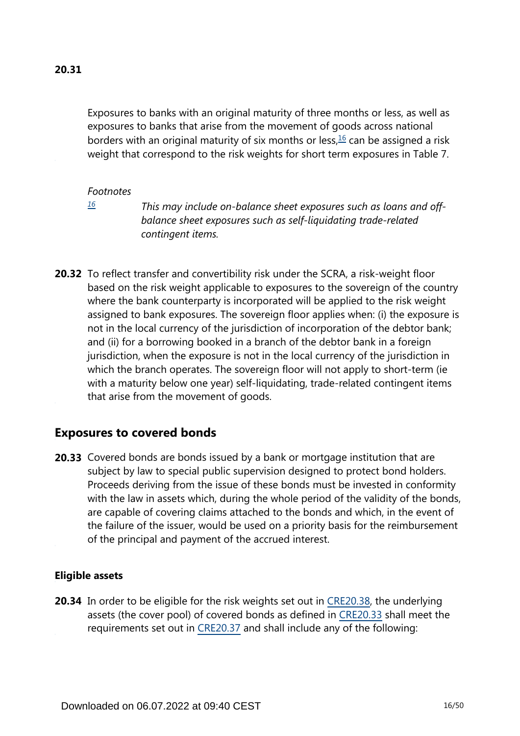<span id="page-15-1"></span>Exposures to banks with an original maturity of three months or less, as well as exposures to banks that arise from the movement of goods across national borders with an original maturity of six months or less, $16$  can be assigned a risk weight that correspond to the risk weights for short term exposures in Table 7.

#### *Footnotes*

<span id="page-15-0"></span>*[16](#page-15-1)*

*This may include on-balance sheet exposures such as loans and offbalance sheet exposures such as self-liquidating trade-related contingent items.*

**20.32** To reflect transfer and convertibility risk under the SCRA, a risk-weight floor based on the risk weight applicable to exposures to the sovereign of the country where the bank counterparty is incorporated will be applied to the risk weight assigned to bank exposures. The sovereign floor applies when: (i) the exposure is not in the local currency of the jurisdiction of incorporation of the debtor bank; and (ii) for a borrowing booked in a branch of the debtor bank in a foreign jurisdiction, when the exposure is not in the local currency of the jurisdiction in which the branch operates. The sovereign floor will not apply to short-term (ie with a maturity below one year) self-liquidating, trade-related contingent items that arise from the movement of goods.

# **Exposures to covered bonds**

**20.33** Covered bonds are bonds issued by a bank or mortgage institution that are subject by law to special public supervision designed to protect bond holders. Proceeds deriving from the issue of these bonds must be invested in conformity with the law in assets which, during the whole period of the validity of the bonds, are capable of covering claims attached to the bonds and which, in the event of the failure of the issuer, would be used on a priority basis for the reimbursement of the principal and payment of the accrued interest.

#### **Eligible assets**

**20.34** In order to be eligible for the risk weights set out in [CRE20.38,](https://www.bis.org/basel_framework/chapter/CRE/20.htm?tldate=20281012&inforce=20230101&published=20201126#paragraph_CRE_20_20230101_20_38) the underlying assets (the cover pool) of covered bonds as defined in [CRE20.33](https://www.bis.org/basel_framework/chapter/CRE/20.htm?tldate=20281012&inforce=20230101&published=20201126#paragraph_CRE_20_20230101_20_33) shall meet the requirements set out in [CRE20.37](https://www.bis.org/basel_framework/chapter/CRE/20.htm?tldate=20281012&inforce=20230101&published=20201126#paragraph_CRE_20_20230101_20_37) and shall include any of the following: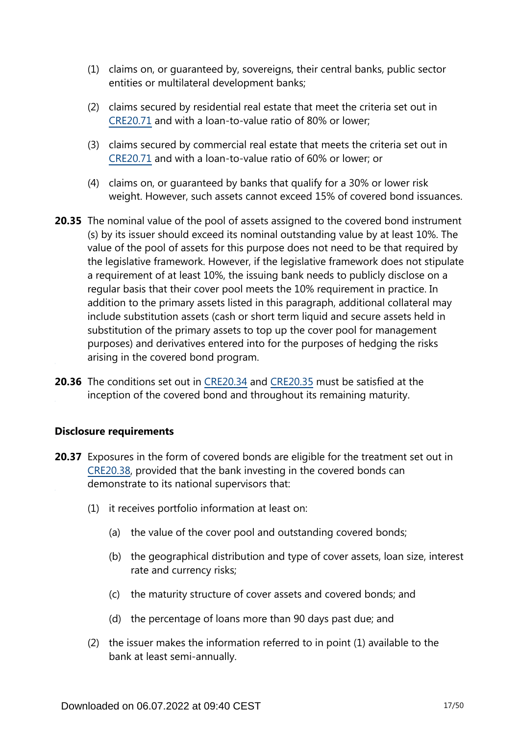- (1) claims on, or guaranteed by, sovereigns, their central banks, public sector entities or multilateral development banks;
- (2) claims secured by residential real estate that meet the criteria set out in [CRE20.71](https://www.bis.org/basel_framework/chapter/CRE/20.htm?tldate=20281012&inforce=20230101&published=20201126#paragraph_CRE_20_20230101_20_71) and with a loan-to-value ratio of 80% or lower;
- (3) claims secured by commercial real estate that meets the criteria set out in [CRE20.71](https://www.bis.org/basel_framework/chapter/CRE/20.htm?tldate=20281012&inforce=20230101&published=20201126#paragraph_CRE_20_20230101_20_71) and with a loan-to-value ratio of 60% or lower; or
- (4) claims on, or guaranteed by banks that qualify for a 30% or lower risk weight. However, such assets cannot exceed 15% of covered bond issuances.
- **20.35** The nominal value of the pool of assets assigned to the covered bond instrument (s) by its issuer should exceed its nominal outstanding value by at least 10%. The value of the pool of assets for this purpose does not need to be that required by the legislative framework. However, if the legislative framework does not stipulate a requirement of at least 10%, the issuing bank needs to publicly disclose on a regular basis that their cover pool meets the 10% requirement in practice. In addition to the primary assets listed in this paragraph, additional collateral may include substitution assets (cash or short term liquid and secure assets held in substitution of the primary assets to top up the cover pool for management purposes) and derivatives entered into for the purposes of hedging the risks arising in the covered bond program.
- **20.36** The conditions set out in [CRE20.34](https://www.bis.org/basel_framework/chapter/CRE/20.htm?tldate=20281012&inforce=20230101&published=20201126#paragraph_CRE_20_20230101_20_34) and [CRE20.35](https://www.bis.org/basel_framework/chapter/CRE/20.htm?tldate=20281012&inforce=20230101&published=20201126#paragraph_CRE_20_20230101_20_35) must be satisfied at the inception of the covered bond and throughout its remaining maturity.

## **Disclosure requirements**

- **20.37** Exposures in the form of covered bonds are eligible for the treatment set out in [CRE20.38](https://www.bis.org/basel_framework/chapter/CRE/20.htm?tldate=20281012&inforce=20230101&published=20201126#paragraph_CRE_20_20230101_20_38), provided that the bank investing in the covered bonds can demonstrate to its national supervisors that:
	- (1) it receives portfolio information at least on:
		- (a) the value of the cover pool and outstanding covered bonds;
		- (b) the geographical distribution and type of cover assets, loan size, interest rate and currency risks;
		- (c) the maturity structure of cover assets and covered bonds; and
		- (d) the percentage of loans more than 90 days past due; and
	- (2) the issuer makes the information referred to in point (1) available to the bank at least semi-annually.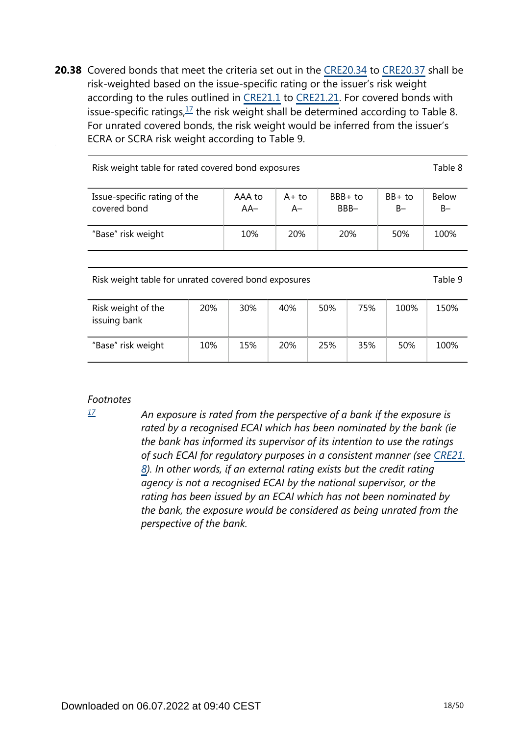<span id="page-17-1"></span>**20.38** Covered bonds that meet the criteria set out in the [CRE20.34](https://www.bis.org/basel_framework/chapter/CRE/20.htm?tldate=20281012&inforce=20230101&published=20201126#paragraph_CRE_20_20230101_20_34) to [CRE20.37](https://www.bis.org/basel_framework/chapter/CRE/20.htm?tldate=20281012&inforce=20230101&published=20201126#paragraph_CRE_20_20230101_20_37) shall be risk-weighted based on the issue-specific rating or the issuer's risk weight according to the rules outlined in [CRE21.1](https://www.bis.org/basel_framework/chapter/CRE/21.htm?tldate=20281012&inforce=20230101&published=20200327#paragraph_CRE_21_20230101_21_1) to [CRE21.21](https://www.bis.org/basel_framework/chapter/CRE/21.htm?tldate=20281012&inforce=20230101&published=20200327#paragraph_CRE_21_20230101_21_21). For covered bonds with issue-specific ratings,  $\frac{17}{1}$  $\frac{17}{1}$  $\frac{17}{1}$  the risk weight shall be determined according to Table 8. For unrated covered bonds, the risk weight would be inferred from the issuer's ECRA or SCRA risk weight according to Table 9.

| Risk weight table for rated covered bond exposures |                 |                |                    |                   |                       |  |  |  |
|----------------------------------------------------|-----------------|----------------|--------------------|-------------------|-----------------------|--|--|--|
| Issue-specific rating of the<br>covered bond       | AAA to<br>$AA-$ | $A+to$<br>$A-$ | $BBB + to$<br>BBB- | $BB+$ to<br>$B -$ | <b>Below</b><br>$B -$ |  |  |  |
| "Base" risk weight                                 | 10%             | <b>20%</b>     | 20%                | 50%               | 100%                  |  |  |  |

Risk weight table for unrated covered bond exposures Table 9

| Risk weight of the<br>issuing bank | 20% | 30% | 40% | 50% | 75% | 100% | 150% |
|------------------------------------|-----|-----|-----|-----|-----|------|------|
| "Base" risk weight                 | 10% | 15% | 20% | 25% | 35% | 50%  | 100% |

## *Footnotes*

<span id="page-17-0"></span>*[17](#page-17-1)*

*An exposure is rated from the perspective of a bank if the exposure is rated by a recognised ECAI which has been nominated by the bank (ie the bank has informed its supervisor of its intention to use the ratings of such ECAI for regulatory purposes in a consistent manner (see [CRE21.](https://www.bis.org/basel_framework/chapter/CRE/21.htm?tldate=20281012&inforce=20230101&published=20200327#paragraph_CRE_21_20230101_21_8) [8](https://www.bis.org/basel_framework/chapter/CRE/21.htm?tldate=20281012&inforce=20230101&published=20200327#paragraph_CRE_21_20230101_21_8)). In other words, if an external rating exists but the credit rating agency is not a recognised ECAI by the national supervisor, or the rating has been issued by an ECAI which has not been nominated by the bank, the exposure would be considered as being unrated from the perspective of the bank.*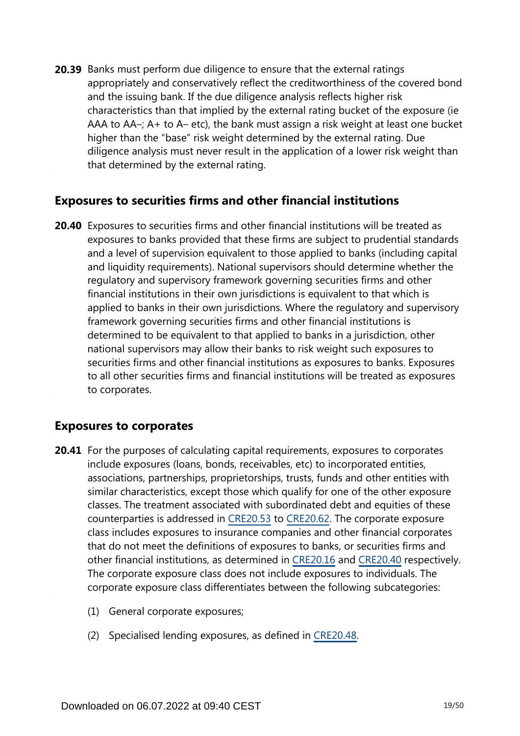**20.39** Banks must perform due diligence to ensure that the external ratings appropriately and conservatively reflect the creditworthiness of the covered bond and the issuing bank. If the due diligence analysis reflects higher risk characteristics than that implied by the external rating bucket of the exposure (ie AAA to AA–; A+ to A– etc), the bank must assign a risk weight at least one bucket higher than the "base" risk weight determined by the external rating. Due diligence analysis must never result in the application of a lower risk weight than that determined by the external rating.

# **Exposures to securities firms and other financial institutions**

**20.40** Exposures to securities firms and other financial institutions will be treated as exposures to banks provided that these firms are subject to prudential standards and a level of supervision equivalent to those applied to banks (including capital and liquidity requirements). National supervisors should determine whether the regulatory and supervisory framework governing securities firms and other financial institutions in their own jurisdictions is equivalent to that which is applied to banks in their own jurisdictions. Where the regulatory and supervisory framework governing securities firms and other financial institutions is determined to be equivalent to that applied to banks in a jurisdiction, other national supervisors may allow their banks to risk weight such exposures to securities firms and other financial institutions as exposures to banks. Exposures to all other securities firms and financial institutions will be treated as exposures to corporates.

# **Exposures to corporates**

- **20.41** For the purposes of calculating capital requirements, exposures to corporates include exposures (loans, bonds, receivables, etc) to incorporated entities, associations, partnerships, proprietorships, trusts, funds and other entities with similar characteristics, except those which qualify for one of the other exposure classes. The treatment associated with subordinated debt and equities of these counterparties is addressed in [CRE20.53](https://www.bis.org/basel_framework/chapter/CRE/20.htm?tldate=20281012&inforce=20230101&published=20201126#paragraph_CRE_20_20230101_20_53) to [CRE20.62](https://www.bis.org/basel_framework/chapter/CRE/20.htm?tldate=20281012&inforce=20230101&published=20201126#paragraph_CRE_20_20230101_20_62). The corporate exposure class includes exposures to insurance companies and other financial corporates that do not meet the definitions of exposures to banks, or securities firms and other financial institutions, as determined in [CRE20.16](https://www.bis.org/basel_framework/chapter/CRE/20.htm?tldate=20281012&inforce=20230101&published=20201126#paragraph_CRE_20_20230101_20_16) and [CRE20.40](https://www.bis.org/basel_framework/chapter/CRE/20.htm?tldate=20281012&inforce=20230101&published=20201126#paragraph_CRE_20_20230101_20_40) respectively. The corporate exposure class does not include exposures to individuals. The corporate exposure class differentiates between the following subcategories:
	- (1) General corporate exposures;
	- (2) Specialised lending exposures, as defined in [CRE20.48](https://www.bis.org/basel_framework/chapter/CRE/20.htm?tldate=20281012&inforce=20230101&published=20201126#paragraph_CRE_20_20230101_20_48).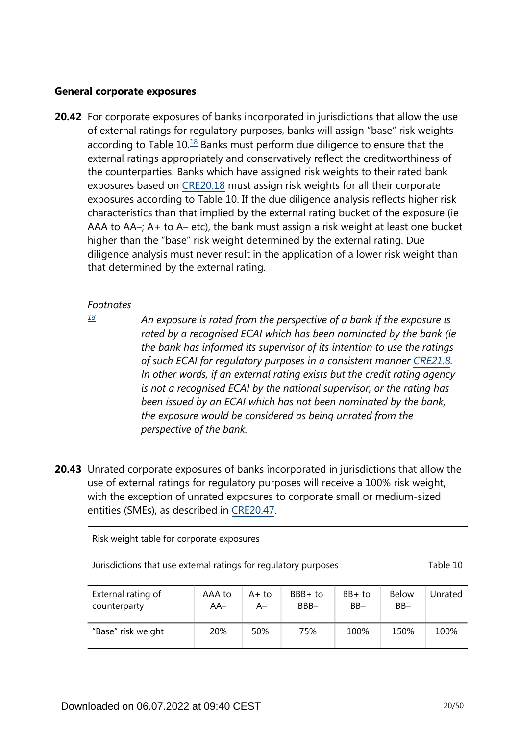#### **General corporate exposures**

<span id="page-19-1"></span>**20.42** For corporate exposures of banks incorporated in jurisdictions that allow the use of external ratings for regulatory purposes, banks will assign "base" risk weights according to Table  $10<sup>18</sup>$  $10<sup>18</sup>$  $10<sup>18</sup>$  Banks must perform due diligence to ensure that the external ratings appropriately and conservatively reflect the creditworthiness of the counterparties. Banks which have assigned risk weights to their rated bank exposures based on [CRE20.18](https://www.bis.org/basel_framework/chapter/CRE/20.htm?tldate=20281012&inforce=20230101&published=20201126#paragraph_CRE_20_20230101_20_18) must assign risk weights for all their corporate exposures according to Table 10. If the due diligence analysis reflects higher risk characteristics than that implied by the external rating bucket of the exposure (ie AAA to AA–; A+ to A– etc), the bank must assign a risk weight at least one bucket higher than the "base" risk weight determined by the external rating. Due diligence analysis must never result in the application of a lower risk weight than that determined by the external rating.

#### *Footnotes*

<span id="page-19-0"></span>*[18](#page-19-1)*

*An exposure is rated from the perspective of a bank if the exposure is rated by a recognised ECAI which has been nominated by the bank (ie the bank has informed its supervisor of its intention to use the ratings of such ECAI for regulatory purposes in a consistent manner [CRE21.8](https://www.bis.org/basel_framework/chapter/CRE/21.htm?tldate=20281012&inforce=20230101&published=20200327#paragraph_CRE_21_20230101_21_8). In other words, if an external rating exists but the credit rating agency is not a recognised ECAI by the national supervisor, or the rating has been issued by an ECAI which has not been nominated by the bank, the exposure would be considered as being unrated from the perspective of the bank.*

**20.43** Unrated corporate exposures of banks incorporated in jurisdictions that allow the use of external ratings for regulatory purposes will receive a 100% risk weight, with the exception of unrated exposures to corporate small or medium-sized entities (SMEs), as described in [CRE20.47](https://www.bis.org/basel_framework/chapter/CRE/20.htm?tldate=20281012&inforce=20230101&published=20201126#paragraph_CRE_20_20230101_20_47).

Risk weight table for corporate exposures

| Jurisdictions that use external ratings for regulatory purposes | Table 10 |
|-----------------------------------------------------------------|----------|
|-----------------------------------------------------------------|----------|

| External rating of | AAA to | $A+to$ | BBB+ to | $BB+$ to | <b>Below</b> | Unrated |
|--------------------|--------|--------|---------|----------|--------------|---------|
| counterparty       | AA–    | A–     | BBB-    | $BB-$    | $BB -$       |         |
| "Base" risk weight | 20%    | 50%    | 75%     | 100%     | 150%         | 100%    |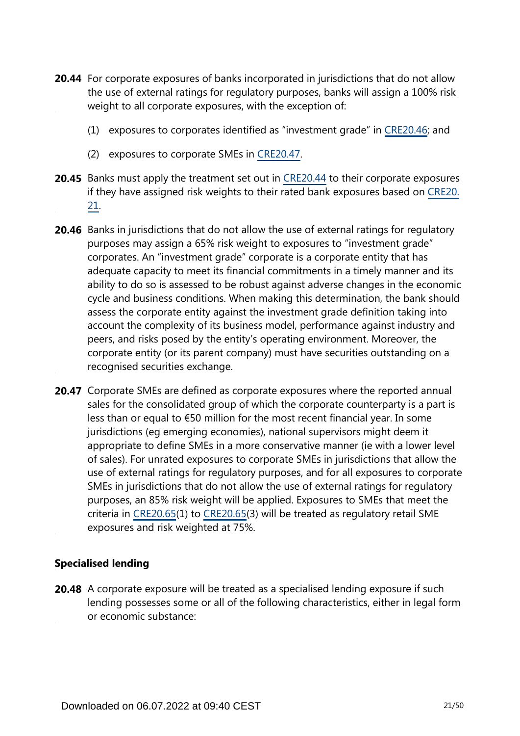- **20.44** For corporate exposures of banks incorporated in jurisdictions that do not allow the use of external ratings for regulatory purposes, banks will assign a 100% risk weight to all corporate exposures, with the exception of:
	- (1) exposures to corporates identified as "investment grade" in [CRE20.46;](https://www.bis.org/basel_framework/chapter/CRE/20.htm?tldate=20281012&inforce=20230101&published=20201126#paragraph_CRE_20_20230101_20_46) and
	- (2) exposures to corporate SMEs in [CRE20.47.](https://www.bis.org/basel_framework/chapter/CRE/20.htm?tldate=20281012&inforce=20230101&published=20201126#paragraph_CRE_20_20230101_20_47)
- **20.45** Banks must apply the treatment set out in [CRE20.44](https://www.bis.org/basel_framework/chapter/CRE/20.htm?tldate=20281012&inforce=20230101&published=20201126#paragraph_CRE_20_20230101_20_44) to their corporate exposures if they have assigned risk weights to their rated bank exposures based on [CRE20.](https://www.bis.org/basel_framework/chapter/CRE/20.htm?tldate=20281012&inforce=20230101&published=20201126#paragraph_CRE_20_20230101_20_21) [21](https://www.bis.org/basel_framework/chapter/CRE/20.htm?tldate=20281012&inforce=20230101&published=20201126#paragraph_CRE_20_20230101_20_21).
- **20.46** Banks in jurisdictions that do not allow the use of external ratings for regulatory purposes may assign a 65% risk weight to exposures to "investment grade" corporates. An "investment grade" corporate is a corporate entity that has adequate capacity to meet its financial commitments in a timely manner and its ability to do so is assessed to be robust against adverse changes in the economic cycle and business conditions. When making this determination, the bank should assess the corporate entity against the investment grade definition taking into account the complexity of its business model, performance against industry and peers, and risks posed by the entity's operating environment. Moreover, the corporate entity (or its parent company) must have securities outstanding on a recognised securities exchange.
- 20.47 Corporate SMEs are defined as corporate exposures where the reported annual sales for the consolidated group of which the corporate counterparty is a part is less than or equal to €50 million for the most recent financial year. In some jurisdictions (eg emerging economies), national supervisors might deem it appropriate to define SMEs in a more conservative manner (ie with a lower level of sales). For unrated exposures to corporate SMEs in jurisdictions that allow the use of external ratings for regulatory purposes, and for all exposures to corporate SMEs in jurisdictions that do not allow the use of external ratings for regulatory purposes, an 85% risk weight will be applied. Exposures to SMEs that meet the criteria in [CRE20.65\(](https://www.bis.org/basel_framework/chapter/CRE/20.htm?tldate=20281012&inforce=20230101&published=20201126#paragraph_CRE_20_20230101_20_65)1) to [CRE20.65](https://www.bis.org/basel_framework/chapter/CRE/20.htm?tldate=20281012&inforce=20230101&published=20201126#paragraph_CRE_20_20230101_20_65)(3) will be treated as regulatory retail SME exposures and risk weighted at 75%.

## **Specialised lending**

**20.48** A corporate exposure will be treated as a specialised lending exposure if such lending possesses some or all of the following characteristics, either in legal form or economic substance: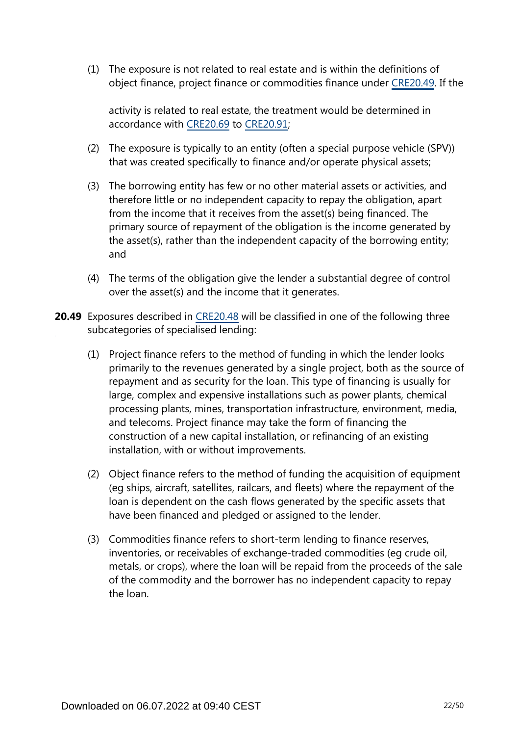(1) The exposure is not related to real estate and is within the definitions of object finance, project finance or commodities finance under [CRE20.49.](https://www.bis.org/basel_framework/chapter/CRE/20.htm?tldate=20281012&inforce=20230101&published=20201126#paragraph_CRE_20_20230101_20_49) If the

activity is related to real estate, the treatment would be determined in accordance with [CRE20.69](https://www.bis.org/basel_framework/chapter/CRE/20.htm?tldate=20281012&inforce=20230101&published=20201126#paragraph_CRE_20_20230101_20_69) to [CRE20.91;](https://www.bis.org/basel_framework/chapter/CRE/20.htm?tldate=20281012&inforce=20230101&published=20201126#paragraph_CRE_20_20230101_20_91)

- (2) The exposure is typically to an entity (often a special purpose vehicle (SPV)) that was created specifically to finance and/or operate physical assets;
- (3) The borrowing entity has few or no other material assets or activities, and therefore little or no independent capacity to repay the obligation, apart from the income that it receives from the asset(s) being financed. The primary source of repayment of the obligation is the income generated by the asset(s), rather than the independent capacity of the borrowing entity; and
- (4) The terms of the obligation give the lender a substantial degree of control over the asset(s) and the income that it generates.
- **20.49** Exposures described in [CRE20.48](https://www.bis.org/basel_framework/chapter/CRE/20.htm?tldate=20281012&inforce=20230101&published=20201126#paragraph_CRE_20_20230101_20_48) will be classified in one of the following three subcategories of specialised lending:
	- (1) Project finance refers to the method of funding in which the lender looks primarily to the revenues generated by a single project, both as the source of repayment and as security for the loan. This type of financing is usually for large, complex and expensive installations such as power plants, chemical processing plants, mines, transportation infrastructure, environment, media, and telecoms. Project finance may take the form of financing the construction of a new capital installation, or refinancing of an existing installation, with or without improvements.
	- (2) Object finance refers to the method of funding the acquisition of equipment (eg ships, aircraft, satellites, railcars, and fleets) where the repayment of the loan is dependent on the cash flows generated by the specific assets that have been financed and pledged or assigned to the lender.
	- (3) Commodities finance refers to short-term lending to finance reserves, inventories, or receivables of exchange-traded commodities (eg crude oil, metals, or crops), where the loan will be repaid from the proceeds of the sale of the commodity and the borrower has no independent capacity to repay the loan.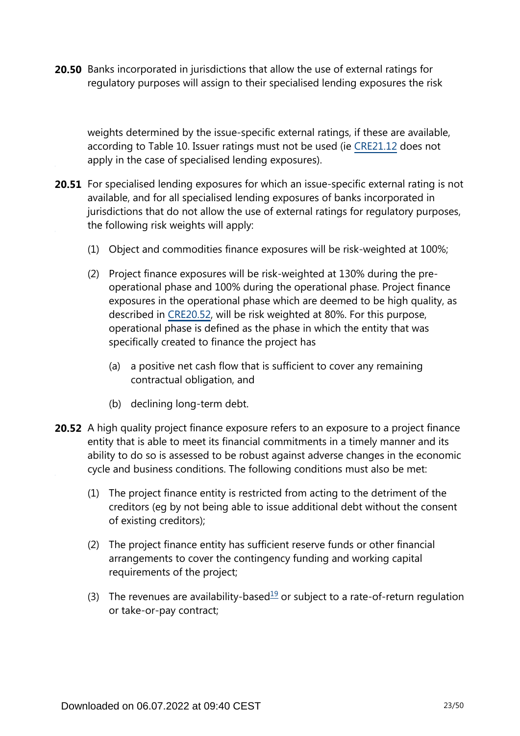**20.50** Banks incorporated in jurisdictions that allow the use of external ratings for regulatory purposes will assign to their specialised lending exposures the risk

weights determined by the issue-specific external ratings, if these are available, according to Table 10. Issuer ratings must not be used (ie [CRE21.12](https://www.bis.org/basel_framework/chapter/CRE/21.htm?tldate=20281012&inforce=20230101&published=20200327#paragraph_CRE_21_20230101_21_12) does not apply in the case of specialised lending exposures).

- **20.51** For specialised lending exposures for which an issue-specific external rating is not available, and for all specialised lending exposures of banks incorporated in jurisdictions that do not allow the use of external ratings for regulatory purposes, the following risk weights will apply:
	- (1) Object and commodities finance exposures will be risk-weighted at 100%;
	- (2) Project finance exposures will be risk-weighted at 130% during the preoperational phase and 100% during the operational phase. Project finance exposures in the operational phase which are deemed to be high quality, as described in [CRE20.52](https://www.bis.org/basel_framework/chapter/CRE/20.htm?tldate=20281012&inforce=20230101&published=20201126#paragraph_CRE_20_20230101_20_52), will be risk weighted at 80%. For this purpose, operational phase is defined as the phase in which the entity that was specifically created to finance the project has
		- (a) a positive net cash flow that is sufficient to cover any remaining contractual obligation, and
		- (b) declining long-term debt.
- <span id="page-22-0"></span>**20.52** A high quality project finance exposure refers to an exposure to a project finance entity that is able to meet its financial commitments in a timely manner and its ability to do so is assessed to be robust against adverse changes in the economic cycle and business conditions. The following conditions must also be met:
	- (1) The project finance entity is restricted from acting to the detriment of the creditors (eg by not being able to issue additional debt without the consent of existing creditors);
	- (2) The project finance entity has sufficient reserve funds or other financial arrangements to cover the contingency funding and working capital requirements of the project;
	- (3) The revenues are availability-based<sup>[19](#page-23-0)</sup> or subject to a rate-of-return regulation or take-or-pay contract;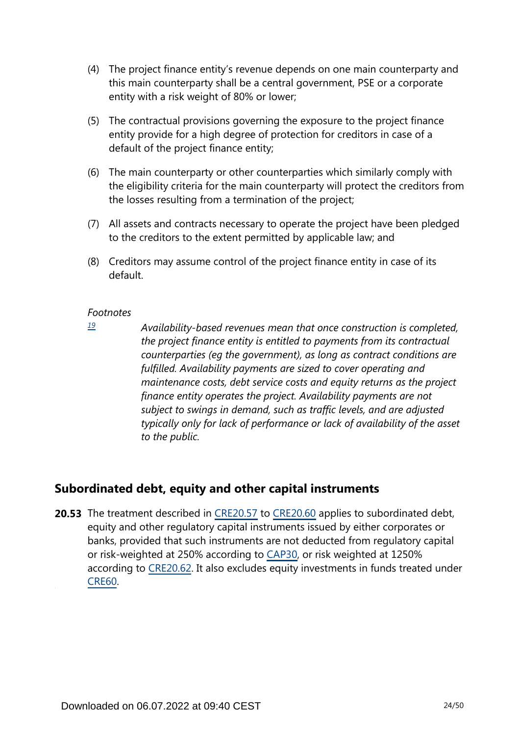- (4) The project finance entity's revenue depends on one main counterparty and this main counterparty shall be a central government, PSE or a corporate entity with a risk weight of 80% or lower;
- (5) The contractual provisions governing the exposure to the project finance entity provide for a high degree of protection for creditors in case of a default of the project finance entity;
- (6) The main counterparty or other counterparties which similarly comply with the eligibility criteria for the main counterparty will protect the creditors from the losses resulting from a termination of the project;
- (7) All assets and contracts necessary to operate the project have been pledged to the creditors to the extent permitted by applicable law; and
- (8) Creditors may assume control of the project finance entity in case of its default.

<span id="page-23-0"></span>*[19](#page-22-0)*

*Availability-based revenues mean that once construction is completed, the project finance entity is entitled to payments from its contractual counterparties (eg the government), as long as contract conditions are fulfilled. Availability payments are sized to cover operating and maintenance costs, debt service costs and equity returns as the project finance entity operates the project. Availability payments are not subject to swings in demand, such as traffic levels, and are adjusted typically only for lack of performance or lack of availability of the asset to the public.*

# **Subordinated debt, equity and other capital instruments**

**20.53** The treatment described in [CRE20.57](https://www.bis.org/basel_framework/chapter/CRE/20.htm?tldate=20281012&inforce=20230101&published=20201126#paragraph_CRE_20_20230101_20_57) to [CRE20.60](https://www.bis.org/basel_framework/chapter/CRE/20.htm?tldate=20281012&inforce=20230101&published=20201126#paragraph_CRE_20_20230101_20_60) applies to subordinated debt, equity and other regulatory capital instruments issued by either corporates or banks, provided that such instruments are not deducted from regulatory capital or risk-weighted at 250% according to [CAP30](https://www.bis.org/basel_framework/chapter/CAP/30.htm?tldate=20281012&inforce=20191215&published=20191215), or risk weighted at 1250% according to [CRE20.62](https://www.bis.org/basel_framework/chapter/CRE/20.htm?tldate=20281012&inforce=20230101&published=20201126#paragraph_CRE_20_20230101_20_62). It also excludes equity investments in funds treated under [CRE60.](https://www.bis.org/basel_framework/chapter/CRE/60.htm?tldate=20281012&inforce=20230101&published=20200327)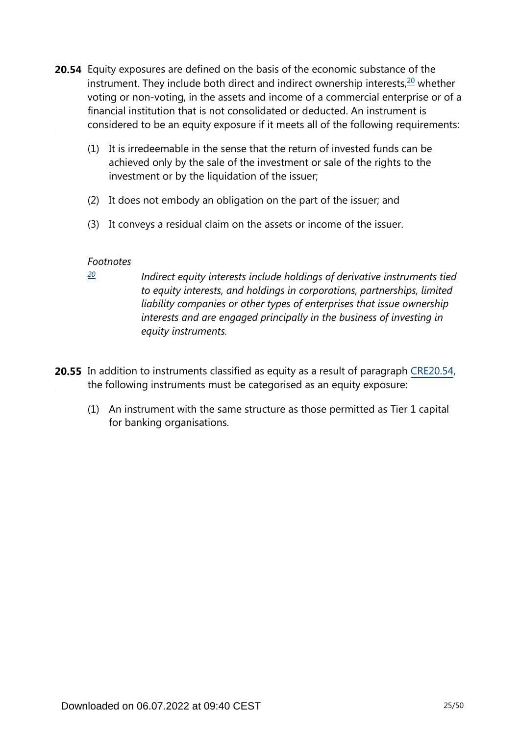- <span id="page-24-1"></span>**20.54** Equity exposures are defined on the basis of the economic substance of the instrument. They include both direct and indirect ownership interests, $20$  whether voting or non-voting, in the assets and income of a commercial enterprise or of a financial institution that is not consolidated or deducted. An instrument is considered to be an equity exposure if it meets all of the following requirements:
	- (1) It is irredeemable in the sense that the return of invested funds can be achieved only by the sale of the investment or sale of the rights to the investment or by the liquidation of the issuer;
	- (2) It does not embody an obligation on the part of the issuer; and
	- (3) It conveys a residual claim on the assets or income of the issuer.

<span id="page-24-0"></span>*[20](#page-24-1)*

*Indirect equity interests include holdings of derivative instruments tied to equity interests, and holdings in corporations, partnerships, limited liability companies or other types of enterprises that issue ownership interests and are engaged principally in the business of investing in equity instruments.*

- **20.55** In addition to instruments classified as equity as a result of paragraph [CRE20.54](https://www.bis.org/basel_framework/chapter/CRE/20.htm?tldate=20281012&inforce=20230101&published=20201126#paragraph_CRE_20_20230101_20_54), the following instruments must be categorised as an equity exposure:
	- (1) An instrument with the same structure as those permitted as Tier 1 capital for banking organisations.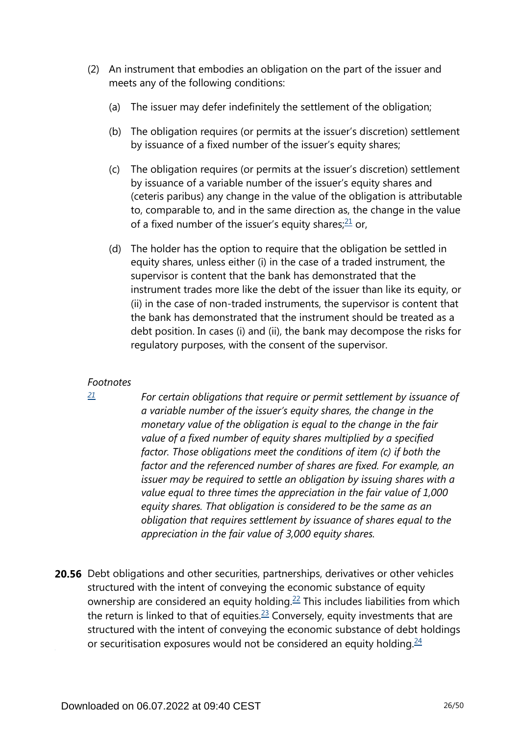- <span id="page-25-1"></span>(2) An instrument that embodies an obligation on the part of the issuer and meets any of the following conditions:
	- (a) The issuer may defer indefinitely the settlement of the obligation;
	- (b) The obligation requires (or permits at the issuer's discretion) settlement by issuance of a fixed number of the issuer's equity shares;
	- (c) The obligation requires (or permits at the issuer's discretion) settlement by issuance of a variable number of the issuer's equity shares and (ceteris paribus) any change in the value of the obligation is attributable to, comparable to, and in the same direction as, the change in the value of a fixed number of the issuer's equity shares; $21$  or,
	- (d) The holder has the option to require that the obligation be settled in equity shares, unless either (i) in the case of a traded instrument, the supervisor is content that the bank has demonstrated that the instrument trades more like the debt of the issuer than like its equity, or (ii) in the case of non-traded instruments, the supervisor is content that the bank has demonstrated that the instrument should be treated as a debt position. In cases (i) and (ii), the bank may decompose the risks for regulatory purposes, with the consent of the supervisor.

<span id="page-25-0"></span>*[21](#page-25-1)*

*For certain obligations that require or permit settlement by issuance of a variable number of the issuer's equity shares, the change in the monetary value of the obligation is equal to the change in the fair value of a fixed number of equity shares multiplied by a specified factor. Those obligations meet the conditions of item (c) if both the factor and the referenced number of shares are fixed. For example, an issuer may be required to settle an obligation by issuing shares with a value equal to three times the appreciation in the fair value of 1,000 equity shares. That obligation is considered to be the same as an obligation that requires settlement by issuance of shares equal to the appreciation in the fair value of 3,000 equity shares.*

<span id="page-25-4"></span><span id="page-25-3"></span><span id="page-25-2"></span>**20.56** Debt obligations and other securities, partnerships, derivatives or other vehicles structured with the intent of conveying the economic substance of equity ownership are considered an equity holding.<sup>[22](#page-26-0)</sup> This includes liabilities from which the return is linked to that of equities. $23$  Conversely, equity investments that are structured with the intent of conveying the economic substance of debt holdings or securitisation exposures would not be considered an equity holding. $24$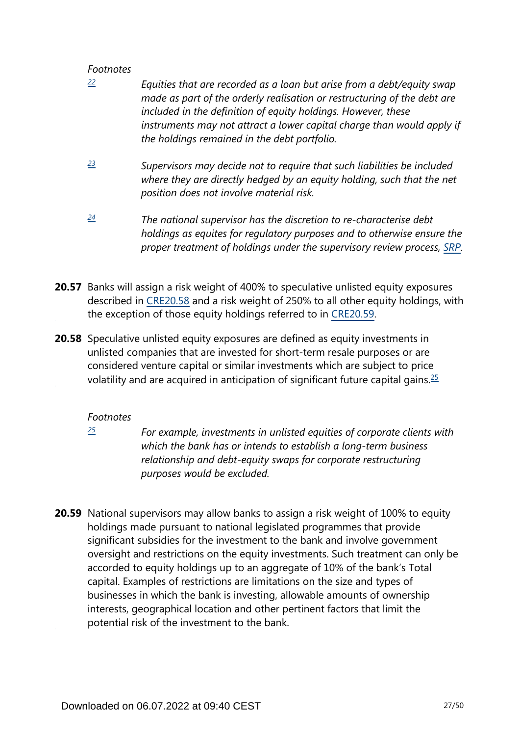- <span id="page-26-0"></span>*Equities that are recorded as a loan but arise from a debt/equity swap made as part of the orderly realisation or restructuring of the debt are included in the definition of equity holdings. However, these instruments may not attract a lower capital charge than would apply if the holdings remained in the debt portfolio. [22](#page-25-2)*
- <span id="page-26-1"></span>*Supervisors may decide not to require that such liabilities be included where they are directly hedged by an equity holding, such that the net position does not involve material risk. [23](#page-25-3)*
- <span id="page-26-2"></span>*The national supervisor has the discretion to re-characterise debt holdings as equites for regulatory purposes and to otherwise ensure the proper treatment of holdings under the supervisory review process, [SRP.](https://www.bis.org/basel_framework/standard/SRP.htm?tldate=20281012) [24](#page-25-4)*
- **20.57** Banks will assign a risk weight of 400% to speculative unlisted equity exposures described in [CRE20.58](https://www.bis.org/basel_framework/chapter/CRE/20.htm?tldate=20281012&inforce=20230101&published=20201126#paragraph_CRE_20_20230101_20_58) and a risk weight of 250% to all other equity holdings, with the exception of those equity holdings referred to in [CRE20.59.](https://www.bis.org/basel_framework/chapter/CRE/20.htm?tldate=20281012&inforce=20230101&published=20201126#paragraph_CRE_20_20230101_20_59)
- <span id="page-26-4"></span>**20.58** Speculative unlisted equity exposures are defined as equity investments in unlisted companies that are invested for short-term resale purposes or are considered venture capital or similar investments which are subject to price volatility and are acquired in anticipation of significant future capital gains.  $\frac{25}{5}$  $\frac{25}{5}$  $\frac{25}{5}$

## *Footnotes*

<span id="page-26-3"></span>*[25](#page-26-4)*

*For example, investments in unlisted equities of corporate clients with which the bank has or intends to establish a long-term business relationship and debt-equity swaps for corporate restructuring purposes would be excluded.*

**20.59** National supervisors may allow banks to assign a risk weight of 100% to equity holdings made pursuant to national legislated programmes that provide significant subsidies for the investment to the bank and involve government oversight and restrictions on the equity investments. Such treatment can only be accorded to equity holdings up to an aggregate of 10% of the bank's Total capital. Examples of restrictions are limitations on the size and types of businesses in which the bank is investing, allowable amounts of ownership interests, geographical location and other pertinent factors that limit the potential risk of the investment to the bank.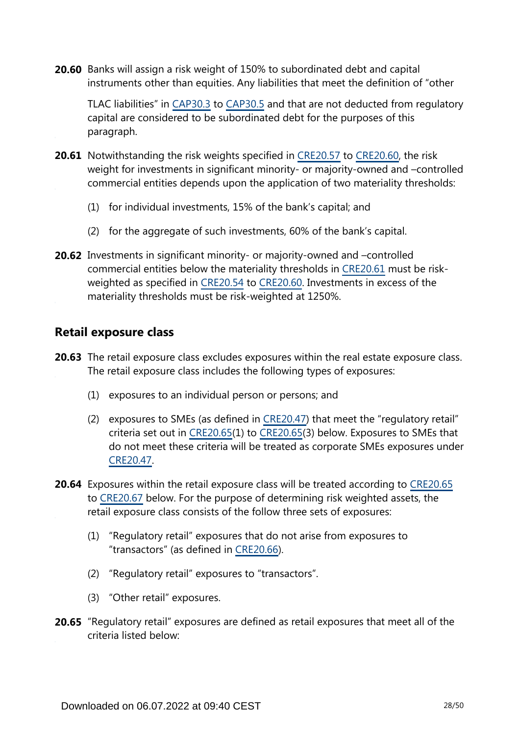**20.60** Banks will assign a risk weight of 150% to subordinated debt and capital instruments other than equities. Any liabilities that meet the definition of "other

TLAC liabilities" in [CAP30.3](https://www.bis.org/basel_framework/chapter/CAP/30.htm?tldate=20281012&inforce=20191215&published=20191215#paragraph_CAP_30_20191215_30_3) to [CAP30.5](https://www.bis.org/basel_framework/chapter/CAP/30.htm?tldate=20281012&inforce=20191215&published=20191215#paragraph_CAP_30_20191215_30_5) and that are not deducted from regulatory capital are considered to be subordinated debt for the purposes of this paragraph.

- **20.61** Notwithstanding the risk weights specified in [CRE20.57](https://www.bis.org/basel_framework/chapter/CRE/20.htm?tldate=20281012&inforce=20230101&published=20201126#paragraph_CRE_20_20230101_20_57) to [CRE20.60,](https://www.bis.org/basel_framework/chapter/CRE/20.htm?tldate=20281012&inforce=20230101&published=20201126#paragraph_CRE_20_20230101_20_60) the risk weight for investments in significant minority- or majority-owned and –controlled commercial entities depends upon the application of two materiality thresholds:
	- (1) for individual investments, 15% of the bank's capital; and
	- (2) for the aggregate of such investments, 60% of the bank's capital.
- **20.62** Investments in significant minority- or majority-owned and -controlled commercial entities below the materiality thresholds in [CRE20.61](https://www.bis.org/basel_framework/chapter/CRE/20.htm?tldate=20281012&inforce=20230101&published=20201126#paragraph_CRE_20_20230101_20_61) must be riskweighted as specified in [CRE20.54](https://www.bis.org/basel_framework/chapter/CRE/20.htm?tldate=20281012&inforce=20230101&published=20201126#paragraph_CRE_20_20230101_20_54) to [CRE20.60](https://www.bis.org/basel_framework/chapter/CRE/20.htm?tldate=20281012&inforce=20230101&published=20201126#paragraph_CRE_20_20230101_20_60). Investments in excess of the materiality thresholds must be risk-weighted at 1250%.

# **Retail exposure class**

- **20.63** The retail exposure class excludes exposures within the real estate exposure class. The retail exposure class includes the following types of exposures:
	- (1) exposures to an individual person or persons; and
	- (2) exposures to SMEs (as defined in [CRE20.47\)](https://www.bis.org/basel_framework/chapter/CRE/20.htm?tldate=20281012&inforce=20230101&published=20201126#paragraph_CRE_20_20230101_20_47) that meet the "regulatory retail" criteria set out in [CRE20.65\(](https://www.bis.org/basel_framework/chapter/CRE/20.htm?tldate=20281012&inforce=20230101&published=20201126#paragraph_CRE_20_20230101_20_65)1) to [CRE20.65](https://www.bis.org/basel_framework/chapter/CRE/20.htm?tldate=20281012&inforce=20230101&published=20201126#paragraph_CRE_20_20230101_20_65)(3) below. Exposures to SMEs that do not meet these criteria will be treated as corporate SMEs exposures under [CRE20.47.](https://www.bis.org/basel_framework/chapter/CRE/20.htm?tldate=20281012&inforce=20230101&published=20201126#paragraph_CRE_20_20230101_20_47)
- **20.64** Exposures within the retail exposure class will be treated according to [CRE20.65](https://www.bis.org/basel_framework/chapter/CRE/20.htm?tldate=20281012&inforce=20230101&published=20201126#paragraph_CRE_20_20230101_20_65) to [CRE20.67](https://www.bis.org/basel_framework/chapter/CRE/20.htm?tldate=20281012&inforce=20230101&published=20201126#paragraph_CRE_20_20230101_20_67) below. For the purpose of determining risk weighted assets, the retail exposure class consists of the follow three sets of exposures:
	- (1) "Regulatory retail" exposures that do not arise from exposures to "transactors" (as defined in [CRE20.66\)](https://www.bis.org/basel_framework/chapter/CRE/20.htm?tldate=20281012&inforce=20230101&published=20201126#paragraph_CRE_20_20230101_20_66).
	- (2) "Regulatory retail" exposures to "transactors".
	- (3) "Other retail" exposures.
- **20.65** "Regulatory retail" exposures are defined as retail exposures that meet all of the criteria listed below: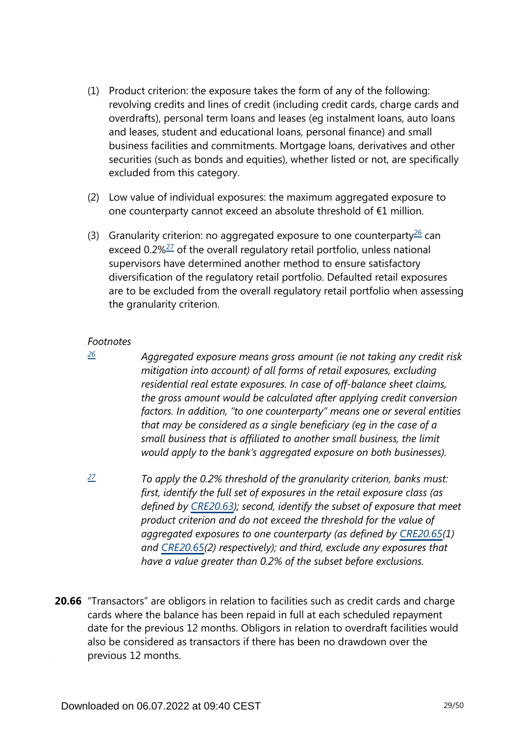- (1) Product criterion: the exposure takes the form of any of the following: revolving credits and lines of credit (including credit cards, charge cards and overdrafts), personal term loans and leases (eg instalment loans, auto loans and leases, student and educational loans, personal finance) and small business facilities and commitments. Mortgage loans, derivatives and other securities (such as bonds and equities), whether listed or not, are specifically excluded from this category.
- (2) Low value of individual exposures: the maximum aggregated exposure to one counterparty cannot exceed an absolute threshold of €1 million.
- <span id="page-28-3"></span><span id="page-28-2"></span>(3) Granularity criterion: no aggregated exposure to one counterparty $^{26}$  $^{26}$  $^{26}$  can exceed 0.2%<sup>[27](#page-28-1)</sup> of the overall regulatory retail portfolio, unless national supervisors have determined another method to ensure satisfactory diversification of the regulatory retail portfolio. Defaulted retail exposures are to be excluded from the overall regulatory retail portfolio when assessing the granularity criterion.

<span id="page-28-0"></span>*[26](#page-28-2)*

*Aggregated exposure means gross amount (ie not taking any credit risk mitigation into account) of all forms of retail exposures, excluding residential real estate exposures. In case of off-balance sheet claims, the gross amount would be calculated after applying credit conversion factors. In addition, "to one counterparty" means one or several entities that may be considered as a single beneficiary (eg in the case of a small business that is affiliated to another small business, the limit would apply to the bank's aggregated exposure on both businesses).*

- <span id="page-28-1"></span>*To apply the 0.2% threshold of the granularity criterion, banks must: first, identify the full set of exposures in the retail exposure class (as defined by [CRE20.63\)](https://www.bis.org/basel_framework/chapter/CRE/20.htm?tldate=20281012&inforce=20230101&published=20201126#paragraph_CRE_20_20230101_20_63); second, identify the subset of exposure that meet product criterion and do not exceed the threshold for the value of aggregated exposures to one counterparty (as defined by [CRE20.65\(](https://www.bis.org/basel_framework/chapter/CRE/20.htm?tldate=20281012&inforce=20230101&published=20201126#paragraph_CRE_20_20230101_20_65)1) and [CRE20.65\(](https://www.bis.org/basel_framework/chapter/CRE/20.htm?tldate=20281012&inforce=20230101&published=20201126#paragraph_CRE_20_20230101_20_65)2) respectively); and third, exclude any exposures that have a value greater than 0.2% of the subset before exclusions. [27](#page-28-3)*
- **20.66** "Transactors" are obligors in relation to facilities such as credit cards and charge cards where the balance has been repaid in full at each scheduled repayment date for the previous 12 months. Obligors in relation to overdraft facilities would also be considered as transactors if there has been no drawdown over the previous 12 months.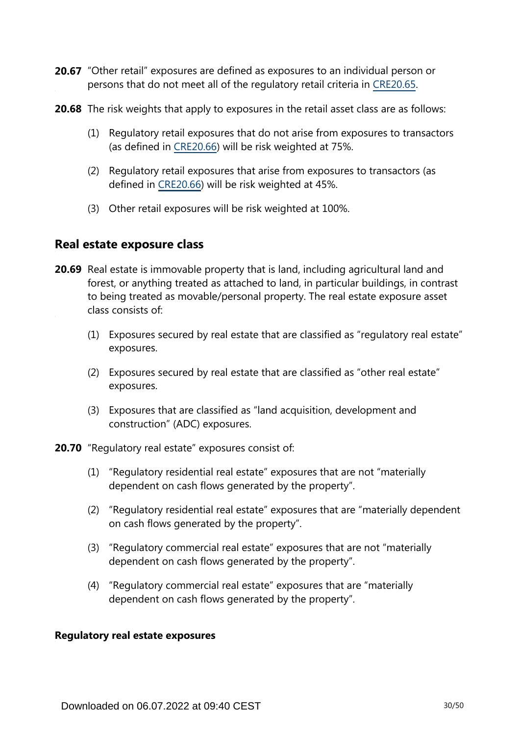- 20.67 "Other retail" exposures are defined as exposures to an individual person or persons that do not meet all of the regulatory retail criteria in [CRE20.65](https://www.bis.org/basel_framework/chapter/CRE/20.htm?tldate=20281012&inforce=20230101&published=20201126#paragraph_CRE_20_20230101_20_65).
- **20.68** The risk weights that apply to exposures in the retail asset class are as follows:
	- (1) Regulatory retail exposures that do not arise from exposures to transactors (as defined in [CRE20.66](https://www.bis.org/basel_framework/chapter/CRE/20.htm?tldate=20281012&inforce=20230101&published=20201126#paragraph_CRE_20_20230101_20_66)) will be risk weighted at 75%.
	- (2) Regulatory retail exposures that arise from exposures to transactors (as defined in [CRE20.66](https://www.bis.org/basel_framework/chapter/CRE/20.htm?tldate=20281012&inforce=20230101&published=20201126#paragraph_CRE_20_20230101_20_66)) will be risk weighted at 45%.
	- (3) Other retail exposures will be risk weighted at 100%.

# **Real estate exposure class**

- **20.69** Real estate is immovable property that is land, including agricultural land and forest, or anything treated as attached to land, in particular buildings, in contrast to being treated as movable/personal property. The real estate exposure asset class consists of:
	- (1) Exposures secured by real estate that are classified as "regulatory real estate" exposures.
	- (2) Exposures secured by real estate that are classified as "other real estate" exposures.
	- (3) Exposures that are classified as "land acquisition, development and construction" (ADC) exposures.
- **20.70** "Regulatory real estate" exposures consist of:
	- (1) "Regulatory residential real estate" exposures that are not "materially dependent on cash flows generated by the property".
	- (2) "Regulatory residential real estate" exposures that are "materially dependent on cash flows generated by the property".
	- (3) "Regulatory commercial real estate" exposures that are not "materially dependent on cash flows generated by the property".
	- (4) "Regulatory commercial real estate" exposures that are "materially dependent on cash flows generated by the property".

#### **Regulatory real estate exposures**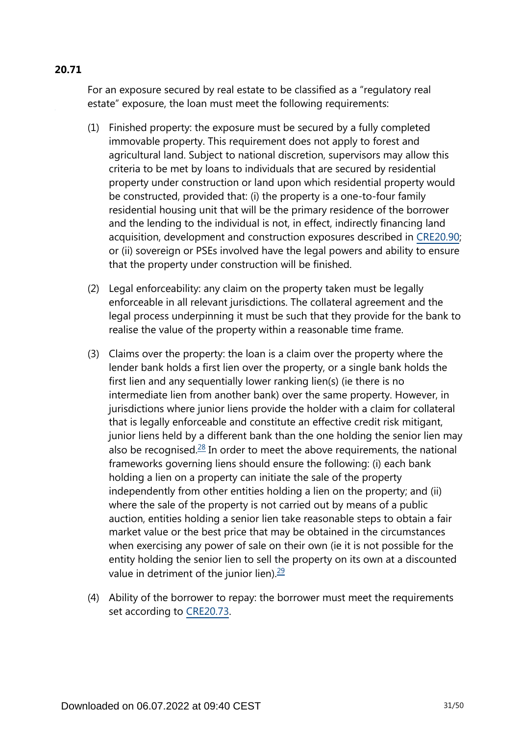# For an exposure secured by real estate to be classified as a "regulatory real estate" exposure, the loan must meet the following requirements:

- (1) Finished property: the exposure must be secured by a fully completed immovable property. This requirement does not apply to forest and agricultural land. Subject to national discretion, supervisors may allow this criteria to be met by loans to individuals that are secured by residential property under construction or land upon which residential property would be constructed, provided that: (i) the property is a one-to-four family residential housing unit that will be the primary residence of the borrower and the lending to the individual is not, in effect, indirectly financing land acquisition, development and construction exposures described in [CRE20.90](https://www.bis.org/basel_framework/chapter/CRE/20.htm?tldate=20281012&inforce=20230101&published=20201126#paragraph_CRE_20_20230101_20_90); or (ii) sovereign or PSEs involved have the legal powers and ability to ensure that the property under construction will be finished.
- (2) Legal enforceability: any claim on the property taken must be legally enforceable in all relevant jurisdictions. The collateral agreement and the legal process underpinning it must be such that they provide for the bank to realise the value of the property within a reasonable time frame.
- <span id="page-30-0"></span>(3) Claims over the property: the loan is a claim over the property where the lender bank holds a first lien over the property, or a single bank holds the first lien and any sequentially lower ranking lien(s) (ie there is no intermediate lien from another bank) over the same property. However, in jurisdictions where junior liens provide the holder with a claim for collateral that is legally enforceable and constitute an effective credit risk mitigant, junior liens held by a different bank than the one holding the senior lien may also be recognised. $28$  In order to meet the above requirements, the national frameworks governing liens should ensure the following: (i) each bank holding a lien on a property can initiate the sale of the property independently from other entities holding a lien on the property; and (ii) where the sale of the property is not carried out by means of a public auction, entities holding a senior lien take reasonable steps to obtain a fair market value or the best price that may be obtained in the circumstances when exercising any power of sale on their own (ie it is not possible for the entity holding the senior lien to sell the property on its own at a discounted value in detriment of the junior lien). $\frac{29}{2}$  $\frac{29}{2}$  $\frac{29}{2}$
- <span id="page-30-1"></span>(4) Ability of the borrower to repay: the borrower must meet the requirements set according to [CRE20.73](https://www.bis.org/basel_framework/chapter/CRE/20.htm?tldate=20281012&inforce=20230101&published=20201126#paragraph_CRE_20_20230101_20_73).

# **20.71**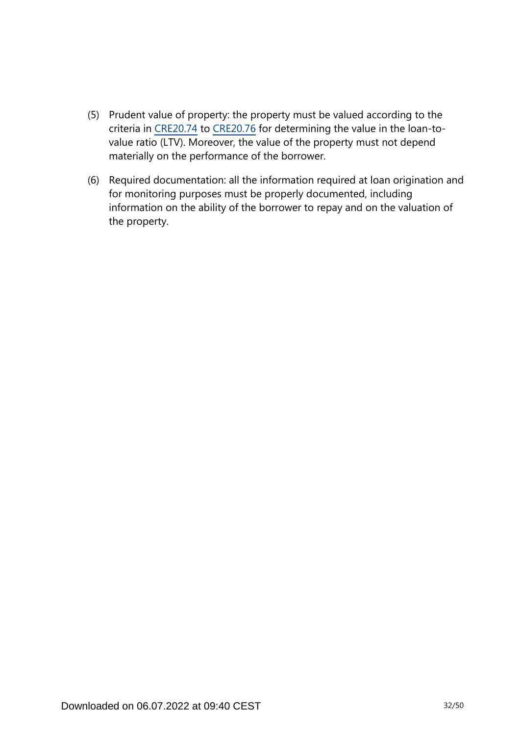- (5) Prudent value of property: the property must be valued according to the criteria in [CRE20.74](https://www.bis.org/basel_framework/chapter/CRE/20.htm?tldate=20281012&inforce=20230101&published=20201126#paragraph_CRE_20_20230101_20_74) to [CRE20.76](https://www.bis.org/basel_framework/chapter/CRE/20.htm?tldate=20281012&inforce=20230101&published=20201126#paragraph_CRE_20_20230101_20_76) for determining the value in the loan-tovalue ratio (LTV). Moreover, the value of the property must not depend materially on the performance of the borrower.
- (6) Required documentation: all the information required at loan origination and for monitoring purposes must be properly documented, including information on the ability of the borrower to repay and on the valuation of the property.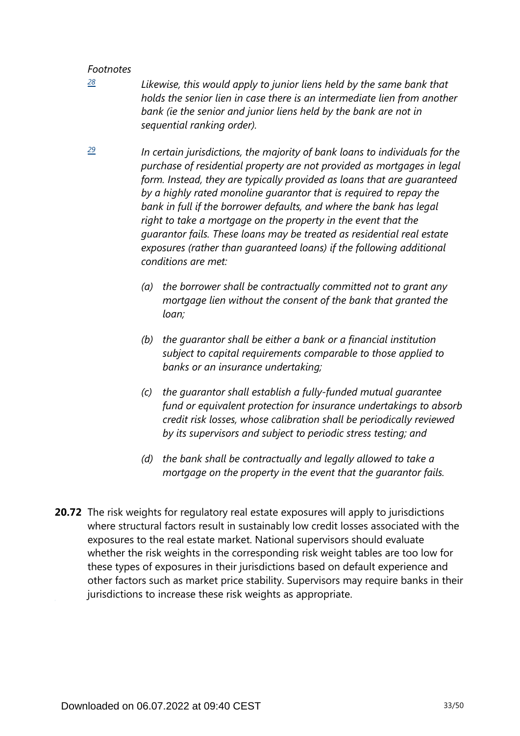<span id="page-32-0"></span>*[28](#page-30-0)*

*Likewise, this would apply to junior liens held by the same bank that holds the senior lien in case there is an intermediate lien from another*  bank (ie the senior and junior liens held by the bank are not in *sequential ranking order).*

<span id="page-32-1"></span>*In certain jurisdictions, the majority of bank loans to individuals for the purchase of residential property are not provided as mortgages in legal form. Instead, they are typically provided as loans that are guaranteed by a highly rated monoline guarantor that is required to repay the bank in full if the borrower defaults, and where the bank has legal right to take a mortgage on the property in the event that the guarantor fails. These loans may be treated as residential real estate exposures (rather than guaranteed loans) if the following additional conditions are met: [29](#page-30-1)*

- *(a) the borrower shall be contractually committed not to grant any mortgage lien without the consent of the bank that granted the loan;*
- *(b) the guarantor shall be either a bank or a financial institution subject to capital requirements comparable to those applied to banks or an insurance undertaking;*
- *(c) the guarantor shall establish a fully-funded mutual guarantee fund or equivalent protection for insurance undertakings to absorb credit risk losses, whose calibration shall be periodically reviewed by its supervisors and subject to periodic stress testing; and*
- *(d) the bank shall be contractually and legally allowed to take a mortgage on the property in the event that the guarantor fails.*
- **20.72** The risk weights for regulatory real estate exposures will apply to jurisdictions where structural factors result in sustainably low credit losses associated with the exposures to the real estate market. National supervisors should evaluate whether the risk weights in the corresponding risk weight tables are too low for these types of exposures in their jurisdictions based on default experience and other factors such as market price stability. Supervisors may require banks in their jurisdictions to increase these risk weights as appropriate.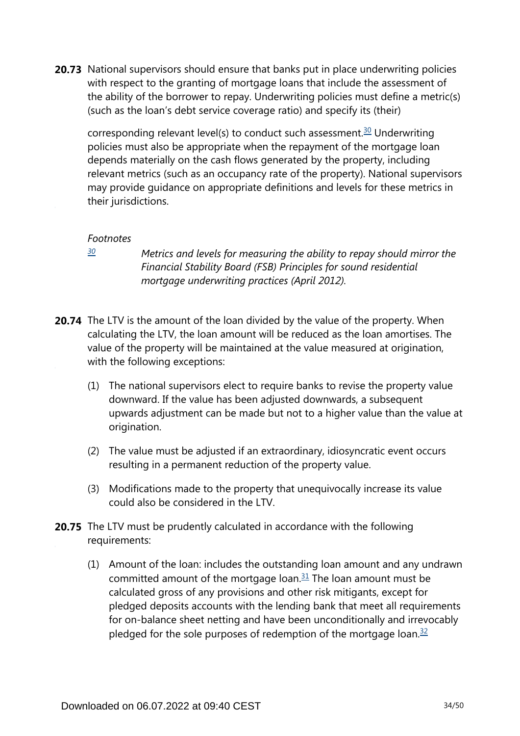<span id="page-33-1"></span>**20.73** National supervisors should ensure that banks put in place underwriting policies with respect to the granting of mortgage loans that include the assessment of the ability of the borrower to repay. Underwriting policies must define a metric(s) (such as the loan's debt service coverage ratio) and specify its (their)

corresponding relevant level(s) to conduct such assessment.<sup>[30](#page-33-0)</sup> Underwriting policies must also be appropriate when the repayment of the mortgage loan depends materially on the cash flows generated by the property, including relevant metrics (such as an occupancy rate of the property). National supervisors may provide guidance on appropriate definitions and levels for these metrics in their jurisdictions.

#### *Footnotes*

<span id="page-33-0"></span>*[30](#page-33-1)*

*Metrics and levels for measuring the ability to repay should mirror the Financial Stability Board (FSB) Principles for sound residential mortgage underwriting practices (April 2012).*

- **20.74** The LTV is the amount of the loan divided by the value of the property. When calculating the LTV, the loan amount will be reduced as the loan amortises. The value of the property will be maintained at the value measured at origination, with the following exceptions:
	- (1) The national supervisors elect to require banks to revise the property value downward. If the value has been adjusted downwards, a subsequent upwards adjustment can be made but not to a higher value than the value at origination.
	- (2) The value must be adjusted if an extraordinary, idiosyncratic event occurs resulting in a permanent reduction of the property value.
	- (3) Modifications made to the property that unequivocally increase its value could also be considered in the LTV.
- <span id="page-33-3"></span><span id="page-33-2"></span>**20.75** The LTV must be prudently calculated in accordance with the following requirements:
	- (1) Amount of the loan: includes the outstanding loan amount and any undrawn committed amount of the mortgage loan. $31$  The loan amount must be calculated gross of any provisions and other risk mitigants, except for pledged deposits accounts with the lending bank that meet all requirements for on-balance sheet netting and have been unconditionally and irrevocably pledged for the sole purposes of redemption of the mortgage loan. $32$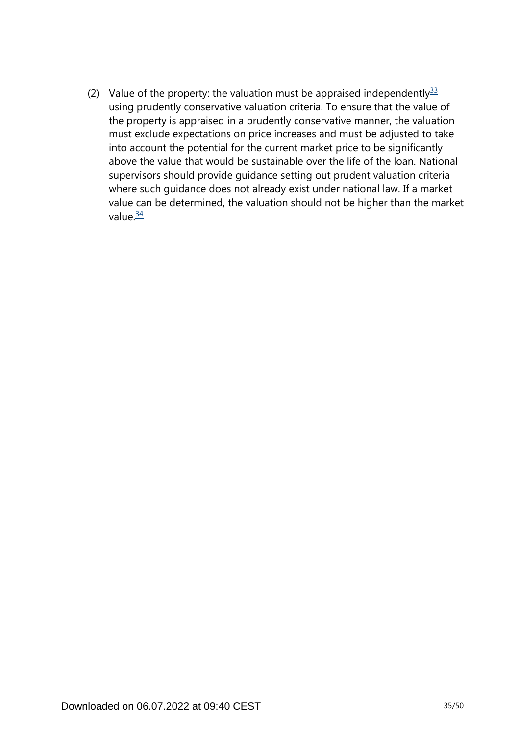<span id="page-34-1"></span><span id="page-34-0"></span>(2) Value of the property: the valuation must be appraised independently  $33$ using prudently conservative valuation criteria. To ensure that the value of the property is appraised in a prudently conservative manner, the valuation must exclude expectations on price increases and must be adjusted to take into account the potential for the current market price to be significantly above the value that would be sustainable over the life of the loan. National supervisors should provide guidance setting out prudent valuation criteria where such guidance does not already exist under national law. If a market value can be determined, the valuation should not be higher than the market value $\frac{34}{5}$  $\frac{34}{5}$  $\frac{34}{5}$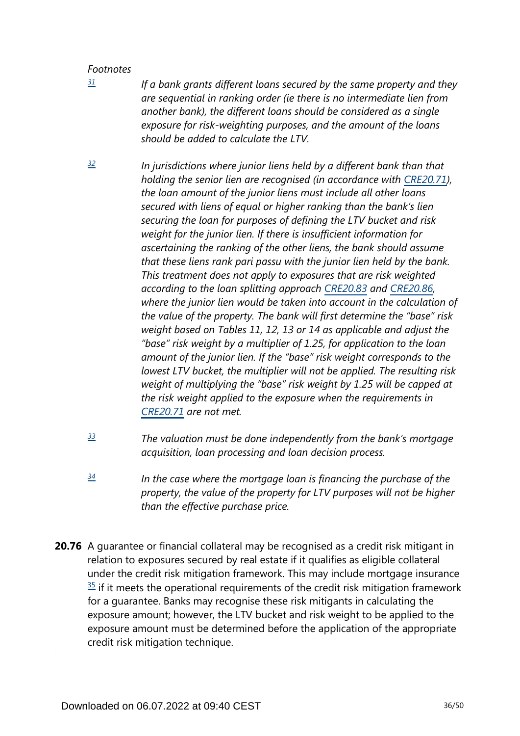<span id="page-35-0"></span>*[31](#page-33-2)*

*If a bank grants different loans secured by the same property and they are sequential in ranking order (ie there is no intermediate lien from another bank), the different loans should be considered as a single exposure for risk-weighting purposes, and the amount of the loans should be added to calculate the LTV.*

- <span id="page-35-1"></span>*In jurisdictions where junior liens held by a different bank than that holding the senior lien are recognised (in accordance with [CRE20.71\)](https://www.bis.org/basel_framework/chapter/CRE/20.htm?tldate=20281012&inforce=20230101&published=20201126#paragraph_CRE_20_20230101_20_71), the loan amount of the junior liens must include all other loans secured with liens of equal or higher ranking than the bank's lien securing the loan for purposes of defining the LTV bucket and risk weight for the junior lien. If there is insufficient information for ascertaining the ranking of the other liens, the bank should assume that these liens rank pari passu with the junior lien held by the bank. This treatment does not apply to exposures that are risk weighted according to the loan splitting approach [CRE20.83](https://www.bis.org/basel_framework/chapter/CRE/20.htm?tldate=20281012&inforce=20230101&published=20201126#paragraph_CRE_20_20230101_20_83) and [CRE20.86,](https://www.bis.org/basel_framework/chapter/CRE/20.htm?tldate=20281012&inforce=20230101&published=20201126#paragraph_CRE_20_20230101_20_86) where the junior lien would be taken into account in the calculation of the value of the property. The bank will first determine the "base" risk weight based on Tables 11, 12, 13 or 14 as applicable and adjust the "base" risk weight by a multiplier of 1.25, for application to the loan amount of the junior lien. If the "base" risk weight corresponds to the lowest LTV bucket, the multiplier will not be applied. The resulting risk weight of multiplying the "base" risk weight by 1.25 will be capped at the risk weight applied to the exposure when the requirements in [CRE20.71](https://www.bis.org/basel_framework/chapter/CRE/20.htm?tldate=20281012&inforce=20230101&published=20201126#paragraph_CRE_20_20230101_20_71) are not met. [32](#page-33-3)*
- <span id="page-35-2"></span>*The valuation must be done independently from the bank's mortgage acquisition, loan processing and loan decision process. [33](#page-34-0)*
- <span id="page-35-3"></span>*In the case where the mortgage loan is financing the purchase of the property, the value of the property for LTV purposes will not be higher than the effective purchase price. [34](#page-34-1)*
- **20.76** A guarantee or financial collateral may be recognised as a credit risk mitigant in relation to exposures secured by real estate if it qualifies as eligible collateral under the credit risk mitigation framework. This may include mortgage insurance  $35$  if it meets the operational requirements of the credit risk mitigation framework for a guarantee. Banks may recognise these risk mitigants in calculating the exposure amount; however, the LTV bucket and risk weight to be applied to the exposure amount must be determined before the application of the appropriate credit risk mitigation technique.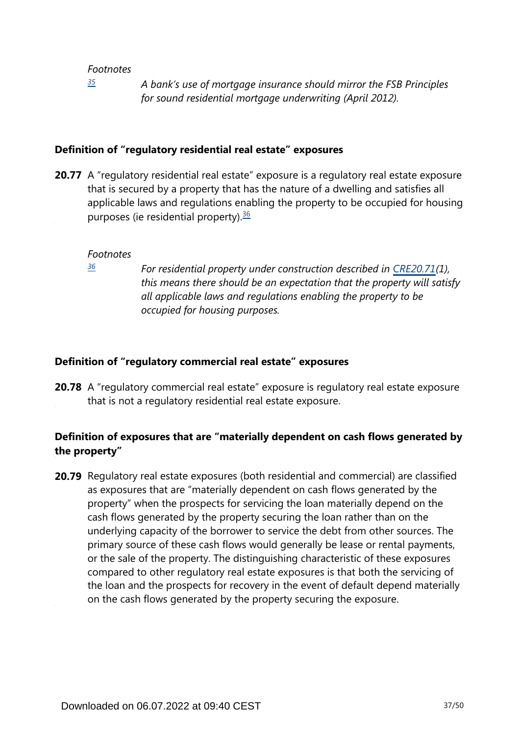*[35](#page-0-0)*

*A bank's use of mortgage insurance should mirror the FSB Principles for sound residential mortgage underwriting (April 2012).*

#### <span id="page-36-0"></span>**Definition of "regulatory residential real estate" exposures**

<span id="page-36-2"></span>**20.77** A "regulatory residential real estate" exposure is a regulatory real estate exposure that is secured by a property that has the nature of a dwelling and satisfies all applicable laws and regulations enabling the property to be occupied for housing purposes (ie residential property). $36$ 

#### *Footnotes*

<span id="page-36-1"></span>*[36](#page-36-2)*

*For residential property under construction described in [CRE20.71\(](https://www.bis.org/basel_framework/chapter/CRE/20.htm?tldate=20281012&inforce=20230101&published=20201126#paragraph_CRE_20_20230101_20_71)1), this means there should be an expectation that the property will satisfy all applicable laws and regulations enabling the property to be occupied for housing purposes.*

#### **Definition of "regulatory commercial real estate" exposures**

**20.78** A "regulatory commercial real estate" exposure is regulatory real estate exposure that is not a regulatory residential real estate exposure.

## **Definition of exposures that are "materially dependent on cash flows generated by the property"**

**20.79** Regulatory real estate exposures (both residential and commercial) are classified as exposures that are "materially dependent on cash flows generated by the property" when the prospects for servicing the loan materially depend on the cash flows generated by the property securing the loan rather than on the underlying capacity of the borrower to service the debt from other sources. The primary source of these cash flows would generally be lease or rental payments, or the sale of the property. The distinguishing characteristic of these exposures compared to other regulatory real estate exposures is that both the servicing of the loan and the prospects for recovery in the event of default depend materially on the cash flows generated by the property securing the exposure.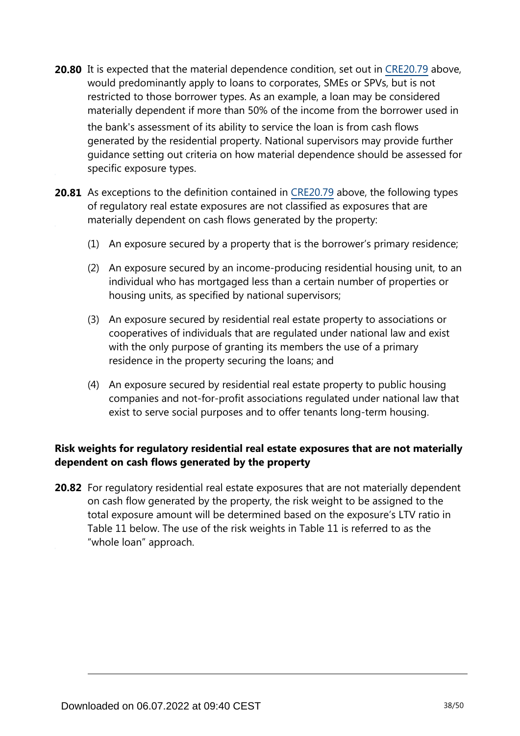**20.80** It is expected that the material dependence condition, set out in [CRE20.79](https://www.bis.org/basel_framework/chapter/CRE/20.htm?tldate=20281012&inforce=20230101&published=20201126#paragraph_CRE_20_20230101_20_79) above, would predominantly apply to loans to corporates, SMEs or SPVs, but is not restricted to those borrower types. As an example, a loan may be considered materially dependent if more than 50% of the income from the borrower used in the bank's assessment of its ability to service the loan is from cash flows generated by the residential property. National supervisors may provide further

guidance setting out criteria on how material dependence should be assessed for specific exposure types.

- **20.81** As exceptions to the definition contained in [CRE20.79](https://www.bis.org/basel_framework/chapter/CRE/20.htm?tldate=20281012&inforce=20230101&published=20201126#paragraph_CRE_20_20230101_20_79) above, the following types of regulatory real estate exposures are not classified as exposures that are materially dependent on cash flows generated by the property:
	- (1) An exposure secured by a property that is the borrower's primary residence;
	- (2) An exposure secured by an income-producing residential housing unit, to an individual who has mortgaged less than a certain number of properties or housing units, as specified by national supervisors;
	- (3) An exposure secured by residential real estate property to associations or cooperatives of individuals that are regulated under national law and exist with the only purpose of granting its members the use of a primary residence in the property securing the loans; and
	- (4) An exposure secured by residential real estate property to public housing companies and not-for-profit associations regulated under national law that exist to serve social purposes and to offer tenants long-term housing.

## **Risk weights for regulatory residential real estate exposures that are not materially dependent on cash flows generated by the property**

**20.82** For regulatory residential real estate exposures that are not materially dependent on cash flow generated by the property, the risk weight to be assigned to the total exposure amount will be determined based on the exposure's LTV ratio in Table 11 below. The use of the risk weights in Table 11 is referred to as the "whole loan" approach.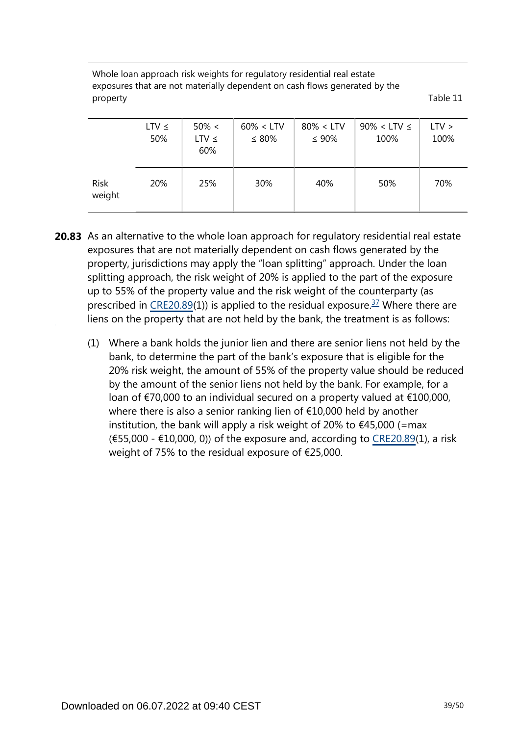Whole loan approach risk weights for regulatory residential real estate exposures that are not materially dependent on cash flows generated by the property Table 11

|                       | $LTV \leq$<br>50% | $50\% <$<br>$LTV \leq$<br>60% | $60\% < LTV$<br>$\leq 80\%$ | $80\% < LTV$<br>$\leq 90\%$ | $90\% <$ LTV $\leq$<br>100% | $LTV$ ><br>100% |
|-----------------------|-------------------|-------------------------------|-----------------------------|-----------------------------|-----------------------------|-----------------|
| <b>Risk</b><br>weight | 20%               | 25%                           | 30%                         | 40%                         | 50%                         | 70%             |

- <span id="page-38-0"></span>**20.83** As an alternative to the whole loan approach for regulatory residential real estate exposures that are not materially dependent on cash flows generated by the property, jurisdictions may apply the "loan splitting" approach. Under the loan splitting approach, the risk weight of 20% is applied to the part of the exposure up to 55% of the property value and the risk weight of the counterparty (as prescribed in [CRE20.89](https://www.bis.org/basel_framework/chapter/CRE/20.htm?tldate=20281012&inforce=20230101&published=20201126#paragraph_CRE_20_20230101_20_89)(1)) is applied to the residual exposure.<sup>[37](#page-39-0)</sup> Where there are liens on the property that are not held by the bank, the treatment is as follows:
	- (1) Where a bank holds the junior lien and there are senior liens not held by the bank, to determine the part of the bank's exposure that is eligible for the 20% risk weight, the amount of 55% of the property value should be reduced by the amount of the senior liens not held by the bank. For example, for a loan of €70,000 to an individual secured on a property valued at €100,000, where there is also a senior ranking lien of €10,000 held by another institution, the bank will apply a risk weight of 20% to  $\epsilon$ 45,000 (=max  $(655,000 - 10,000, 0)$  of the exposure and, according to [CRE20.89\(](https://www.bis.org/basel_framework/chapter/CRE/20.htm?tldate=20281012&inforce=20230101&published=20201126#paragraph_CRE_20_20230101_20_89)1), a risk weight of 75% to the residual exposure of €25,000.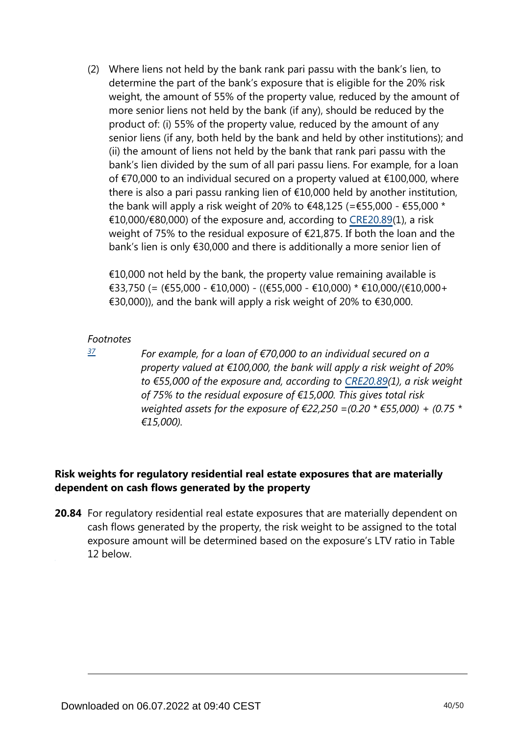(2) Where liens not held by the bank rank pari passu with the bank's lien, to determine the part of the bank's exposure that is eligible for the 20% risk weight, the amount of 55% of the property value, reduced by the amount of more senior liens not held by the bank (if any), should be reduced by the product of: (i) 55% of the property value, reduced by the amount of any senior liens (if any, both held by the bank and held by other institutions); and (ii) the amount of liens not held by the bank that rank pari passu with the bank's lien divided by the sum of all pari passu liens. For example, for a loan of €70,000 to an individual secured on a property valued at €100,000, where there is also a pari passu ranking lien of €10,000 held by another institution, the bank will apply a risk weight of 20% to  $\epsilon$ 48,125 (= $\epsilon$ 55,000 -  $\epsilon$ 55,000 \* €10,000/€80,000) of the exposure and, according to [CRE20.89\(](https://www.bis.org/basel_framework/chapter/CRE/20.htm?tldate=20281012&inforce=20230101&published=20201126#paragraph_CRE_20_20230101_20_89)1), a risk weight of 75% to the residual exposure of €21,875. If both the loan and the bank's lien is only €30,000 and there is additionally a more senior lien of

 $\epsilon$ 10,000 not held by the bank, the property value remaining available is €33,750 (= (€55,000 - €10,000) - ((€55,000 - €10,000) \* €10,000/(€10,000+ €30,000)), and the bank will apply a risk weight of 20% to €30,000.

#### *Footnotes*

<span id="page-39-0"></span>*[37](#page-38-0)*

*For example, for a loan of €70,000 to an individual secured on a property valued at €100,000, the bank will apply a risk weight of 20% to €55,000 of the exposure and, according to [CRE20.89](https://www.bis.org/basel_framework/chapter/CRE/20.htm?tldate=20281012&inforce=20230101&published=20201126#paragraph_CRE_20_20230101_20_89)(1), a risk weight of 75% to the residual exposure of €15,000. This gives total risk weighted assets for the exposure of €22,250 =(0.20 \* €55,000) + (0.75 \* €15,000).*

# **Risk weights for regulatory residential real estate exposures that are materially dependent on cash flows generated by the property**

**20.84** For regulatory residential real estate exposures that are materially dependent on cash flows generated by the property, the risk weight to be assigned to the total exposure amount will be determined based on the exposure's LTV ratio in Table 12 below.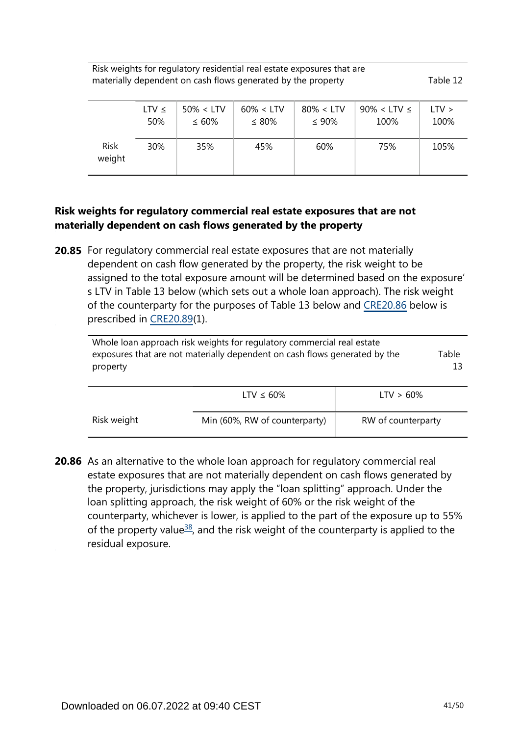Risk weights for regulatory residential real estate exposures that are materially dependent on cash flows generated by the property Table 12

|                       | LTV $\leq$ | $50\% < LTV$ | $60\% < LTV$ | $80\% < LTV$ | $90\% <$ LTV $\leq$ | LTV > |
|-----------------------|------------|--------------|--------------|--------------|---------------------|-------|
|                       | 50%        | $\leq 60\%$  | $\leq 80\%$  | $\leq 90\%$  | 100%                | 100%  |
| <b>Risk</b><br>weight | 30%        | 35%          | 45%          | 60%          | 75%                 | 105%  |

## **Risk weights for regulatory commercial real estate exposures that are not materially dependent on cash flows generated by the property**

**20.85** For regulatory commercial real estate exposures that are not materially dependent on cash flow generated by the property, the risk weight to be assigned to the total exposure amount will be determined based on the exposure' s LTV in Table 13 below (which sets out a whole loan approach). The risk weight of the counterparty for the purposes of Table 13 below and [CRE20.86](https://www.bis.org/basel_framework/chapter/CRE/20.htm?tldate=20281012&inforce=20230101&published=20201126#paragraph_CRE_20_20230101_20_86) below is prescribed in [CRE20.89](https://www.bis.org/basel_framework/chapter/CRE/20.htm?tldate=20281012&inforce=20230101&published=20201126#paragraph_CRE_20_20230101_20_89)(1).

| Whole loan approach risk weights for regulatory commercial real estate<br>exposures that are not materially dependent on cash flows generated by the<br>property | Table |
|------------------------------------------------------------------------------------------------------------------------------------------------------------------|-------|
|                                                                                                                                                                  |       |

|             | LTV $\leq 60\%$               | $LTV > 60\%$       |
|-------------|-------------------------------|--------------------|
| Risk weight | Min (60%, RW of counterparty) | RW of counterparty |

<span id="page-40-0"></span>**20.86** As an alternative to the whole loan approach for regulatory commercial real estate exposures that are not materially dependent on cash flows generated by the property, jurisdictions may apply the "loan splitting" approach. Under the loan splitting approach, the risk weight of 60% or the risk weight of the counterparty, whichever is lower, is applied to the part of the exposure up to 55% of the property value<sup>[38](#page-41-0)</sup>, and the risk weight of the counterparty is applied to the residual exposure.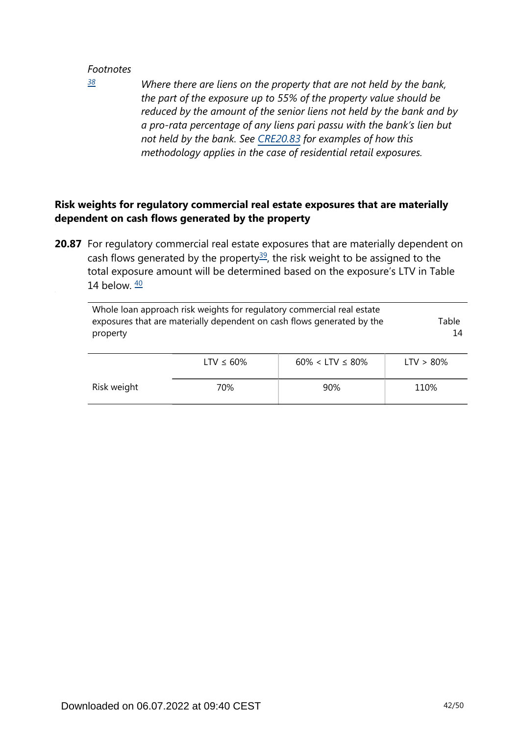<span id="page-41-0"></span>*[38](#page-40-0)*

*Where there are liens on the property that are not held by the bank, the part of the exposure up to 55% of the property value should be reduced by the amount of the senior liens not held by the bank and by a pro-rata percentage of any liens pari passu with the bank's lien but not held by the bank. See [CRE20.83](https://www.bis.org/basel_framework/chapter/CRE/20.htm?tldate=20281012&inforce=20230101&published=20201126#paragraph_CRE_20_20230101_20_83) for examples of how this methodology applies in the case of residential retail exposures.*

# **Risk weights for regulatory commercial real estate exposures that are materially dependent on cash flows generated by the property**

<span id="page-41-2"></span><span id="page-41-1"></span>**20.87** For regulatory commercial real estate exposures that are materially dependent on cash flows generated by the property<sup>[39](#page-42-0)</sup>, the risk weight to be assigned to the total exposure amount will be determined based on the exposure's LTV in Table 14 below.  $\frac{40}{2}$  $\frac{40}{2}$  $\frac{40}{2}$ 

| Whole loan approach risk weights for regulatory commercial real estate<br>exposures that are materially dependent on cash flows generated by the<br>property | Table<br>14     |                          |              |
|--------------------------------------------------------------------------------------------------------------------------------------------------------------|-----------------|--------------------------|--------------|
|                                                                                                                                                              | LTV $\leq 60\%$ | $60\% <$ LTV $\leq 80\%$ | $LTV > 80\%$ |
| Risk weight                                                                                                                                                  | 70%             | 90%                      | 110%         |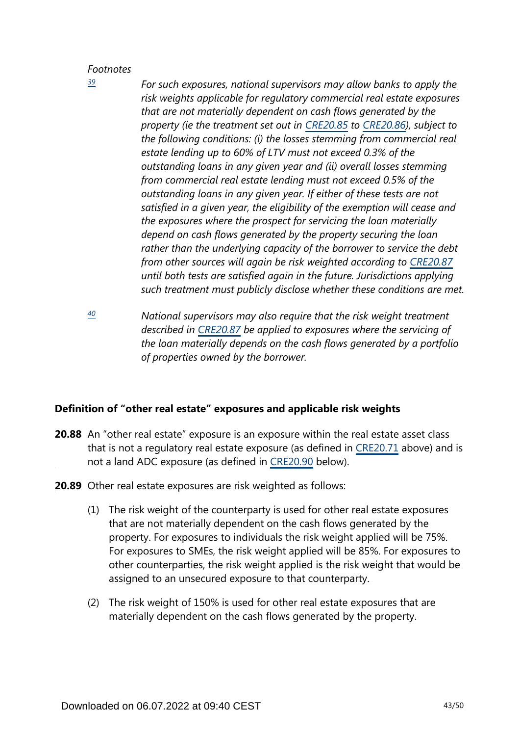<span id="page-42-0"></span>*[39](#page-41-1)*

- *For such exposures, national supervisors may allow banks to apply the risk weights applicable for regulatory commercial real estate exposures that are not materially dependent on cash flows generated by the property (ie the treatment set out in [CRE20.85](https://www.bis.org/basel_framework/chapter/CRE/20.htm?tldate=20281012&inforce=20230101&published=20201126#paragraph_CRE_20_20230101_20_85) to [CRE20.86\)](https://www.bis.org/basel_framework/chapter/CRE/20.htm?tldate=20281012&inforce=20230101&published=20201126#paragraph_CRE_20_20230101_20_86), subject to the following conditions: (i) the losses stemming from commercial real estate lending up to 60% of LTV must not exceed 0.3% of the outstanding loans in any given year and (ii) overall losses stemming from commercial real estate lending must not exceed 0.5% of the outstanding loans in any given year. If either of these tests are not satisfied in a given year, the eligibility of the exemption will cease and the exposures where the prospect for servicing the loan materially depend on cash flows generated by the property securing the loan rather than the underlying capacity of the borrower to service the debt from other sources will again be risk weighted according to [CRE20.87](https://www.bis.org/basel_framework/chapter/CRE/20.htm?tldate=20281012&inforce=20230101&published=20201126#paragraph_CRE_20_20230101_20_87) until both tests are satisfied again in the future. Jurisdictions applying such treatment must publicly disclose whether these conditions are met.*
- <span id="page-42-1"></span>*National supervisors may also require that the risk weight treatment described in [CRE20.87](https://www.bis.org/basel_framework/chapter/CRE/20.htm?tldate=20281012&inforce=20230101&published=20201126#paragraph_CRE_20_20230101_20_87) be applied to exposures where the servicing of the loan materially depends on the cash flows generated by a portfolio of properties owned by the borrower. [40](#page-41-2)*

## **Definition of "other real estate" exposures and applicable risk weights**

- **20.88** An "other real estate" exposure is an exposure within the real estate asset class that is not a regulatory real estate exposure (as defined in [CRE20.71](https://www.bis.org/basel_framework/chapter/CRE/20.htm?tldate=20281012&inforce=20230101&published=20201126#paragraph_CRE_20_20230101_20_71) above) and is not a land ADC exposure (as defined in [CRE20.90](https://www.bis.org/basel_framework/chapter/CRE/20.htm?tldate=20281012&inforce=20230101&published=20201126#paragraph_CRE_20_20230101_20_90) below).
- **20.89** Other real estate exposures are risk weighted as follows:
	- (1) The risk weight of the counterparty is used for other real estate exposures that are not materially dependent on the cash flows generated by the property. For exposures to individuals the risk weight applied will be 75%. For exposures to SMEs, the risk weight applied will be 85%. For exposures to other counterparties, the risk weight applied is the risk weight that would be assigned to an unsecured exposure to that counterparty.
	- (2) The risk weight of 150% is used for other real estate exposures that are materially dependent on the cash flows generated by the property.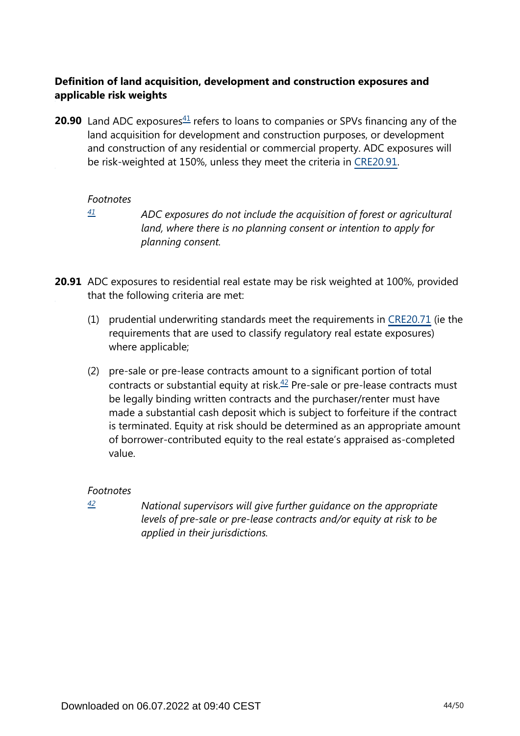## **Definition of land acquisition, development and construction exposures and applicable risk weights**

<span id="page-43-1"></span>**20.90** Land ADC exposures $41$  refers to loans to companies or SPVs financing any of the land acquisition for development and construction purposes, or development and construction of any residential or commercial property. ADC exposures will be risk-weighted at 150%, unless they meet the criteria in [CRE20.91.](https://www.bis.org/basel_framework/chapter/CRE/20.htm?tldate=20281012&inforce=20230101&published=20201126#paragraph_CRE_20_20230101_20_91)

#### *Footnotes*

<span id="page-43-0"></span>*[41](#page-43-1)*

*ADC exposures do not include the acquisition of forest or agricultural land, where there is no planning consent or intention to apply for planning consent.*

**20.91** ADC exposures to residential real estate may be risk weighted at 100%, provided that the following criteria are met:

- (1) prudential underwriting standards meet the requirements in [CRE20.71](https://www.bis.org/basel_framework/chapter/CRE/20.htm?tldate=20281012&inforce=20230101&published=20201126#paragraph_CRE_20_20230101_20_71) (ie the requirements that are used to classify regulatory real estate exposures) where applicable;
- <span id="page-43-3"></span>(2) pre-sale or pre-lease contracts amount to a significant portion of total contracts or substantial equity at risk. $42$  Pre-sale or pre-lease contracts must be legally binding written contracts and the purchaser/renter must have made a substantial cash deposit which is subject to forfeiture if the contract is terminated. Equity at risk should be determined as an appropriate amount of borrower-contributed equity to the real estate's appraised as-completed value.

## *Footnotes*

<span id="page-43-2"></span>*[42](#page-43-3)*

*National supervisors will give further guidance on the appropriate levels of pre-sale or pre-lease contracts and/or equity at risk to be applied in their jurisdictions.*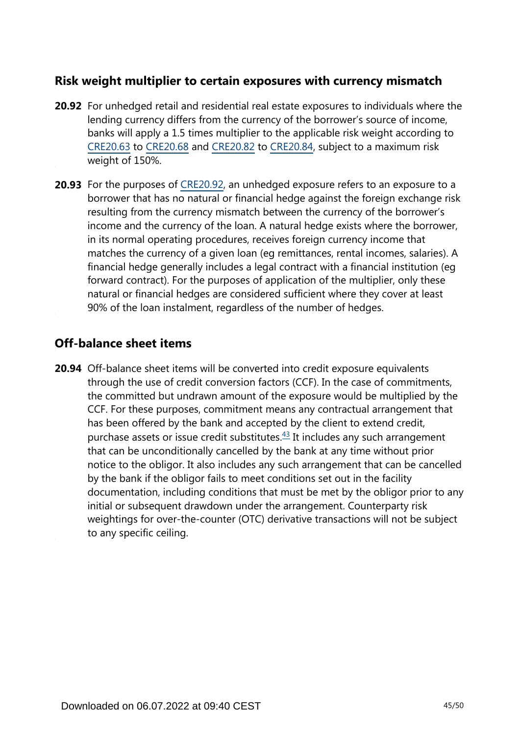# **Risk weight multiplier to certain exposures with currency mismatch**

- **20.92** For unhedged retail and residential real estate exposures to individuals where the lending currency differs from the currency of the borrower's source of income, banks will apply a 1.5 times multiplier to the applicable risk weight according to [CRE20.63](https://www.bis.org/basel_framework/chapter/CRE/20.htm?tldate=20281012&inforce=20230101&published=20201126#paragraph_CRE_20_20230101_20_63) to [CRE20.68](https://www.bis.org/basel_framework/chapter/CRE/20.htm?tldate=20281012&inforce=20230101&published=20201126#paragraph_CRE_20_20230101_20_68) and [CRE20.82](https://www.bis.org/basel_framework/chapter/CRE/20.htm?tldate=20281012&inforce=20230101&published=20201126#paragraph_CRE_20_20230101_20_82) to [CRE20.84,](https://www.bis.org/basel_framework/chapter/CRE/20.htm?tldate=20281012&inforce=20230101&published=20201126#paragraph_CRE_20_20230101_20_84) subject to a maximum risk weight of 150%.
- **20.93** For the purposes of [CRE20.92,](https://www.bis.org/basel_framework/chapter/CRE/20.htm?tldate=20281012&inforce=20230101&published=20201126#paragraph_CRE_20_20230101_20_92) an unhedged exposure refers to an exposure to a borrower that has no natural or financial hedge against the foreign exchange risk resulting from the currency mismatch between the currency of the borrower's income and the currency of the loan. A natural hedge exists where the borrower, in its normal operating procedures, receives foreign currency income that matches the currency of a given loan (eg remittances, rental incomes, salaries). A financial hedge generally includes a legal contract with a financial institution (eg forward contract). For the purposes of application of the multiplier, only these natural or financial hedges are considered sufficient where they cover at least 90% of the loan instalment, regardless of the number of hedges.

# **Off-balance sheet items**

<span id="page-44-0"></span>**20.94** Off-balance sheet items will be converted into credit exposure equivalents through the use of credit conversion factors (CCF). In the case of commitments, the committed but undrawn amount of the exposure would be multiplied by the CCF. For these purposes, commitment means any contractual arrangement that has been offered by the bank and accepted by the client to extend credit, purchase assets or issue credit substitutes. $43$  It includes any such arrangement that can be unconditionally cancelled by the bank at any time without prior notice to the obligor. It also includes any such arrangement that can be cancelled by the bank if the obligor fails to meet conditions set out in the facility documentation, including conditions that must be met by the obligor prior to any initial or subsequent drawdown under the arrangement. Counterparty risk weightings for over-the-counter (OTC) derivative transactions will not be subject to any specific ceiling.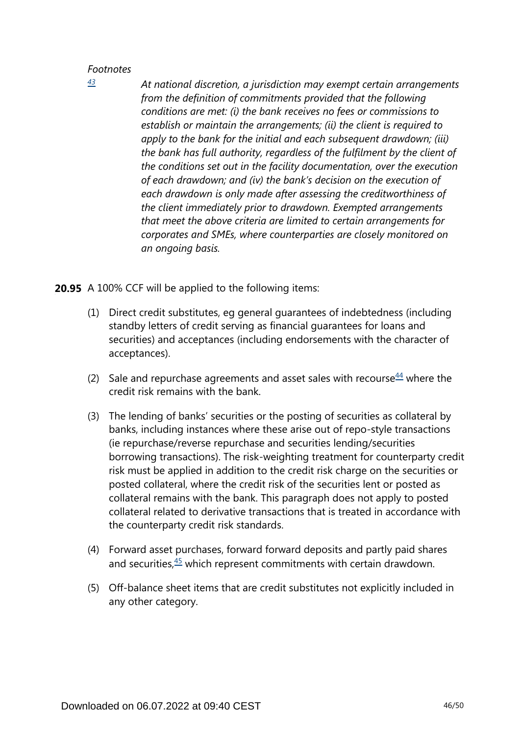*At national discretion, a jurisdiction may exempt certain arrangements from the definition of commitments provided that the following conditions are met: (i) the bank receives no fees or commissions to establish or maintain the arrangements; (ii) the client is required to apply to the bank for the initial and each subsequent drawdown; (iii) the bank has full authority, regardless of the fulfilment by the client of the conditions set out in the facility documentation, over the execution of each drawdown; and (iv) the bank's decision on the execution of each drawdown is only made after assessing the creditworthiness of the client immediately prior to drawdown. Exempted arrangements that meet the above criteria are limited to certain arrangements for corporates and SMEs, where counterparties are closely monitored on an ongoing basis.*

**20.95** A 100% CCF will be applied to the following items:

- (1) Direct credit substitutes, eg general guarantees of indebtedness (including standby letters of credit serving as financial guarantees for loans and securities) and acceptances (including endorsements with the character of acceptances).
- <span id="page-45-1"></span>(2) Sale and repurchase agreements and asset sales with recourse  $44$  where the credit risk remains with the bank.
- (3) The lending of banks' securities or the posting of securities as collateral by banks, including instances where these arise out of repo-style transactions (ie repurchase/reverse repurchase and securities lending/securities borrowing transactions). The risk-weighting treatment for counterparty credit risk must be applied in addition to the credit risk charge on the securities or posted collateral, where the credit risk of the securities lent or posted as collateral remains with the bank. This paragraph does not apply to posted collateral related to derivative transactions that is treated in accordance with the counterparty credit risk standards.
- <span id="page-45-2"></span>(4) Forward asset purchases, forward forward deposits and partly paid shares and securities, $45$  which represent commitments with certain drawdown.
- (5) Off-balance sheet items that are credit substitutes not explicitly included in any other category.

<span id="page-45-0"></span>*[<sup>43</sup>](#page-44-0)*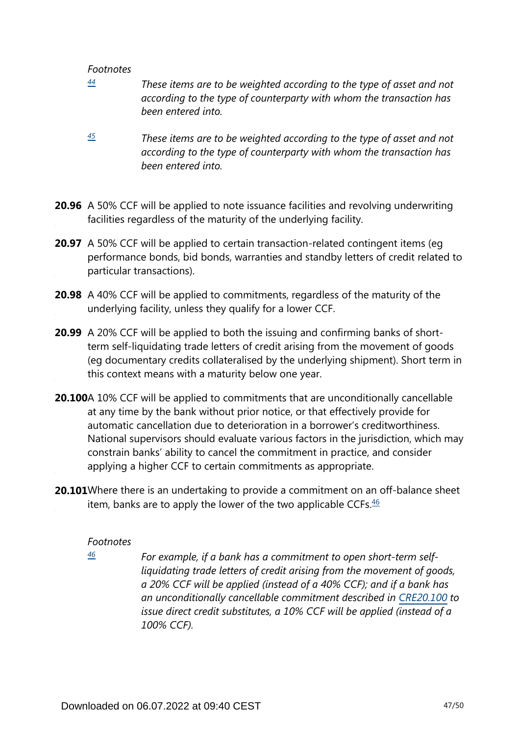- <span id="page-46-0"></span>*These items are to be weighted according to the type of asset and not according to the type of counterparty with whom the transaction has been entered into. [44](#page-45-1)*
- <span id="page-46-1"></span>*These items are to be weighted according to the type of asset and not according to the type of counterparty with whom the transaction has been entered into. [45](#page-45-2)*
- **20.96** A 50% CCF will be applied to note issuance facilities and revolving underwriting facilities regardless of the maturity of the underlying facility.
- **20.97** A 50% CCF will be applied to certain transaction-related contingent items (eg performance bonds, bid bonds, warranties and standby letters of credit related to particular transactions).
- **20.98** A 40% CCF will be applied to commitments, regardless of the maturity of the underlying facility, unless they qualify for a lower CCF.
- **20.99** A 20% CCF will be applied to both the issuing and confirming banks of shortterm self-liquidating trade letters of credit arising from the movement of goods (eg documentary credits collateralised by the underlying shipment). Short term in this context means with a maturity below one year.
- **20.100**A 10% CCF will be applied to commitments that are unconditionally cancellable at any time by the bank without prior notice, or that effectively provide for automatic cancellation due to deterioration in a borrower's creditworthiness. National supervisors should evaluate various factors in the jurisdiction, which may constrain banks' ability to cancel the commitment in practice, and consider applying a higher CCF to certain commitments as appropriate.
- <span id="page-46-3"></span><span id="page-46-2"></span>**20.101**Where there is an undertaking to provide a commitment on an off-balance sheet item, banks are to apply the lower of the two applicable CCFs. $46$

#### *Footnotes*

*[46](#page-46-3)*

*For example, if a bank has a commitment to open short-term selfliquidating trade letters of credit arising from the movement of goods, a 20% CCF will be applied (instead of a 40% CCF); and if a bank has an unconditionally cancellable commitment described in [CRE20.100](https://www.bis.org/basel_framework/chapter/CRE/20.htm?tldate=20281012&inforce=20230101&published=20201126#paragraph_CRE_20_20230101_20_100) to issue direct credit substitutes, a 10% CCF will be applied (instead of a 100% CCF).*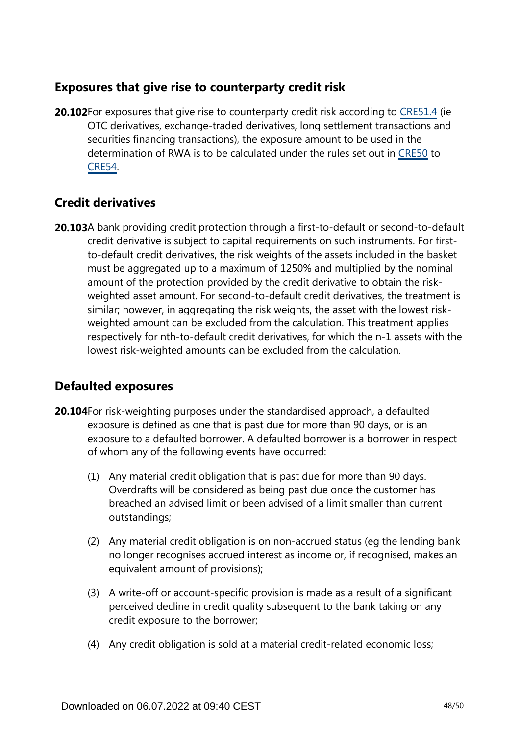# **Exposures that give rise to counterparty credit risk**

**20.102**For exposures that give rise to counterparty credit risk according to [CRE51.4](https://www.bis.org/basel_framework/chapter/CRE/51.htm?tldate=20281012&inforce=20230101&published=20200327#paragraph_CRE_51_20230101_51_4) (ie OTC derivatives, exchange-traded derivatives, long settlement transactions and securities financing transactions), the exposure amount to be used in the determination of RWA is to be calculated under the rules set out in [CRE50](https://www.bis.org/basel_framework/chapter/CRE/50.htm?tldate=20281012&inforce=20191215&published=20191215) to [CRE54.](https://www.bis.org/basel_framework/chapter/CRE/54.htm?tldate=20281012&inforce=20230101&published=20200327)

# **Credit derivatives**

**20.103**A bank providing credit protection through a first-to-default or second-to-default credit derivative is subject to capital requirements on such instruments. For firstto-default credit derivatives, the risk weights of the assets included in the basket must be aggregated up to a maximum of 1250% and multiplied by the nominal amount of the protection provided by the credit derivative to obtain the riskweighted asset amount. For second-to-default credit derivatives, the treatment is similar; however, in aggregating the risk weights, the asset with the lowest riskweighted amount can be excluded from the calculation. This treatment applies respectively for nth-to-default credit derivatives, for which the n-1 assets with the lowest risk-weighted amounts can be excluded from the calculation.

# **Defaulted exposures**

- **20.104** For risk-weighting purposes under the standardised approach, a defaulted exposure is defined as one that is past due for more than 90 days, or is an exposure to a defaulted borrower. A defaulted borrower is a borrower in respect of whom any of the following events have occurred:
	- (1) Any material credit obligation that is past due for more than 90 days. Overdrafts will be considered as being past due once the customer has breached an advised limit or been advised of a limit smaller than current outstandings;
	- (2) Any material credit obligation is on non-accrued status (eg the lending bank no longer recognises accrued interest as income or, if recognised, makes an equivalent amount of provisions);
	- (3) A write-off or account-specific provision is made as a result of a significant perceived decline in credit quality subsequent to the bank taking on any credit exposure to the borrower;
	- (4) Any credit obligation is sold at a material credit-related economic loss;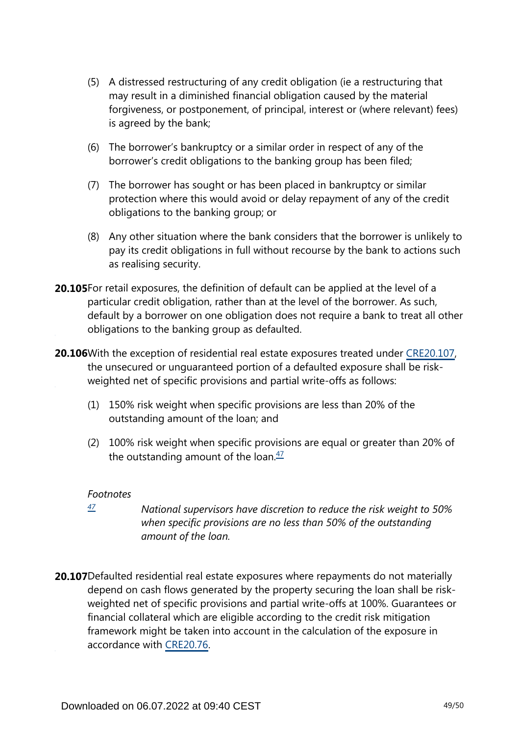- (5) A distressed restructuring of any credit obligation (ie a restructuring that may result in a diminished financial obligation caused by the material forgiveness, or postponement, of principal, interest or (where relevant) fees) is agreed by the bank;
- (6) The borrower's bankruptcy or a similar order in respect of any of the borrower's credit obligations to the banking group has been filed;
- (7) The borrower has sought or has been placed in bankruptcy or similar protection where this would avoid or delay repayment of any of the credit obligations to the banking group; or
- (8) Any other situation where the bank considers that the borrower is unlikely to pay its credit obligations in full without recourse by the bank to actions such as realising security.
- **20.105**For retail exposures, the definition of default can be applied at the level of a particular credit obligation, rather than at the level of the borrower. As such, default by a borrower on one obligation does not require a bank to treat all other obligations to the banking group as defaulted.
- **20.106** With the exception of residential real estate exposures treated under [CRE20.107,](https://www.bis.org/basel_framework/chapter/CRE/20.htm?tldate=20281012&inforce=20230101&published=20201126#paragraph_CRE_20_20230101_20_107) the unsecured or unguaranteed portion of a defaulted exposure shall be riskweighted net of specific provisions and partial write-offs as follows:
	- (1) 150% risk weight when specific provisions are less than 20% of the outstanding amount of the loan; and
	- (2) 100% risk weight when specific provisions are equal or greater than 20% of the outstanding amount of the loan. $\frac{47}{2}$  $\frac{47}{2}$  $\frac{47}{2}$

- <span id="page-48-1"></span><span id="page-48-0"></span>*National supervisors have discretion to reduce the risk weight to 50% when specific provisions are no less than 50% of the outstanding amount of the loan. [47](#page-48-1)*
- **20.107**Defaulted residential real estate exposures where repayments do not materially depend on cash flows generated by the property securing the loan shall be riskweighted net of specific provisions and partial write-offs at 100%. Guarantees or financial collateral which are eligible according to the credit risk mitigation framework might be taken into account in the calculation of the exposure in accordance with [CRE20.76](https://www.bis.org/basel_framework/chapter/CRE/20.htm?tldate=20281012&inforce=20230101&published=20201126#paragraph_CRE_20_20230101_20_76).